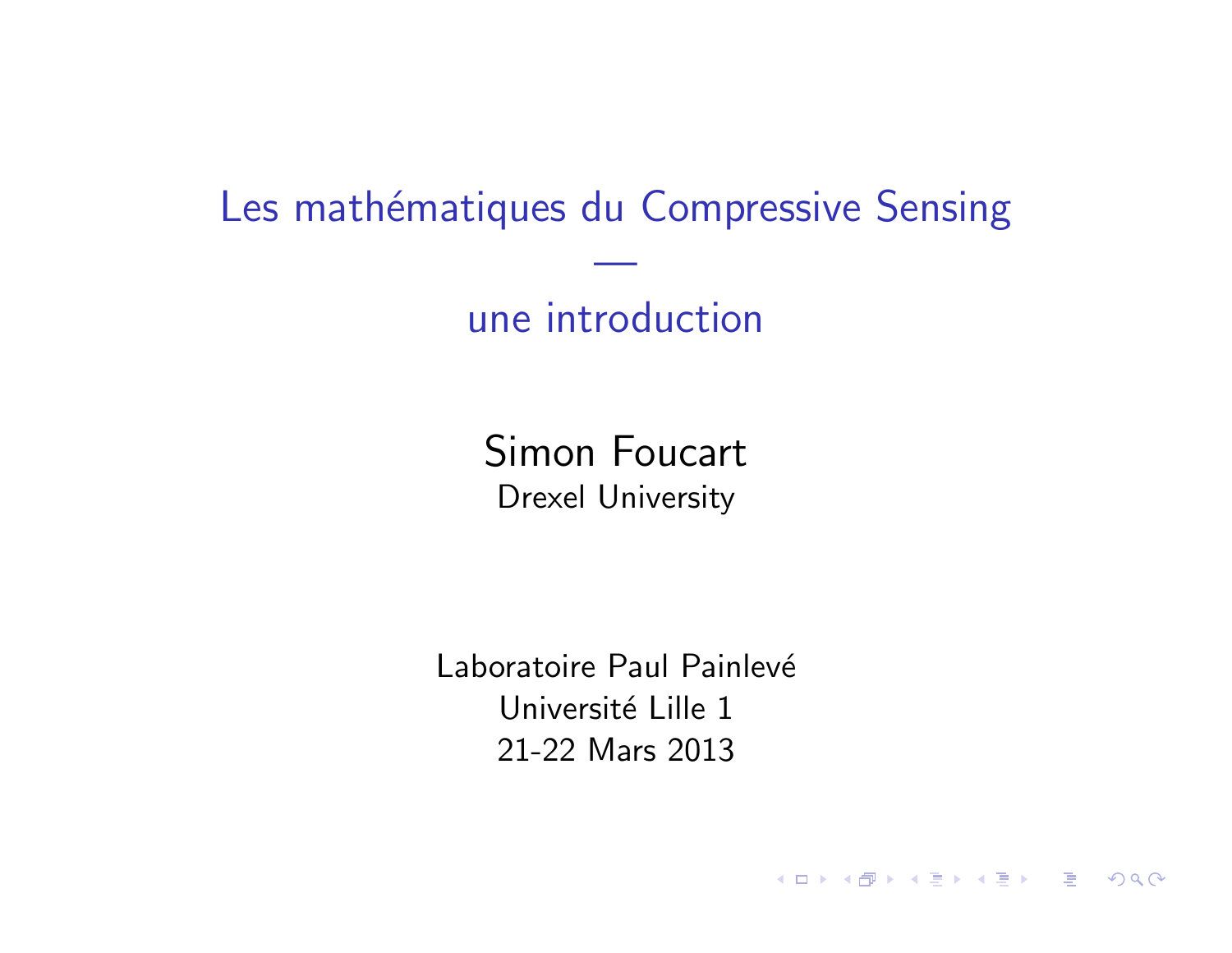Les mathématiques du Compressive Sensing

—

une introduction

Simon Foucart Drexel University

Laboratoire Paul Painlevé Université Lille 1 21-22 Mars 2013

**K ロ ▶ K 個 ▶ K 클 ▶ K 클 ▶ - 클 - 외 익 Q Q**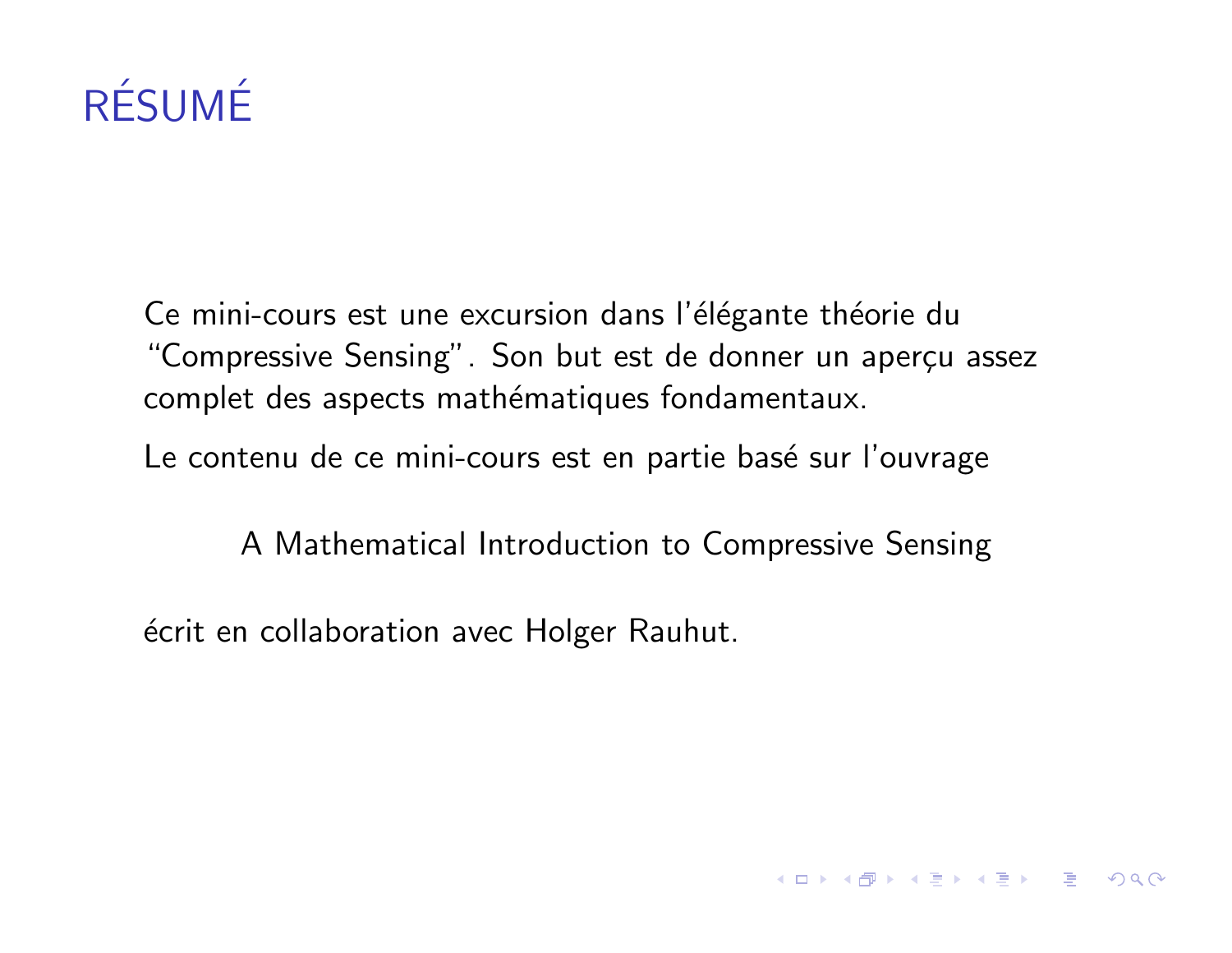# RÉSUMÉ

Ce mini-cours est une excursion dans l'élégante théorie du "Compressive Sensing". Son but est de donner un aperçu assez complet des aspects mathématiques fondamentaux.

Le contenu de ce mini-cours est en partie basé sur l'ouvrage

A Mathematical Introduction to Compressive Sensing

 $\acute{e}$ crit en collaboration avec Holger Rauhut.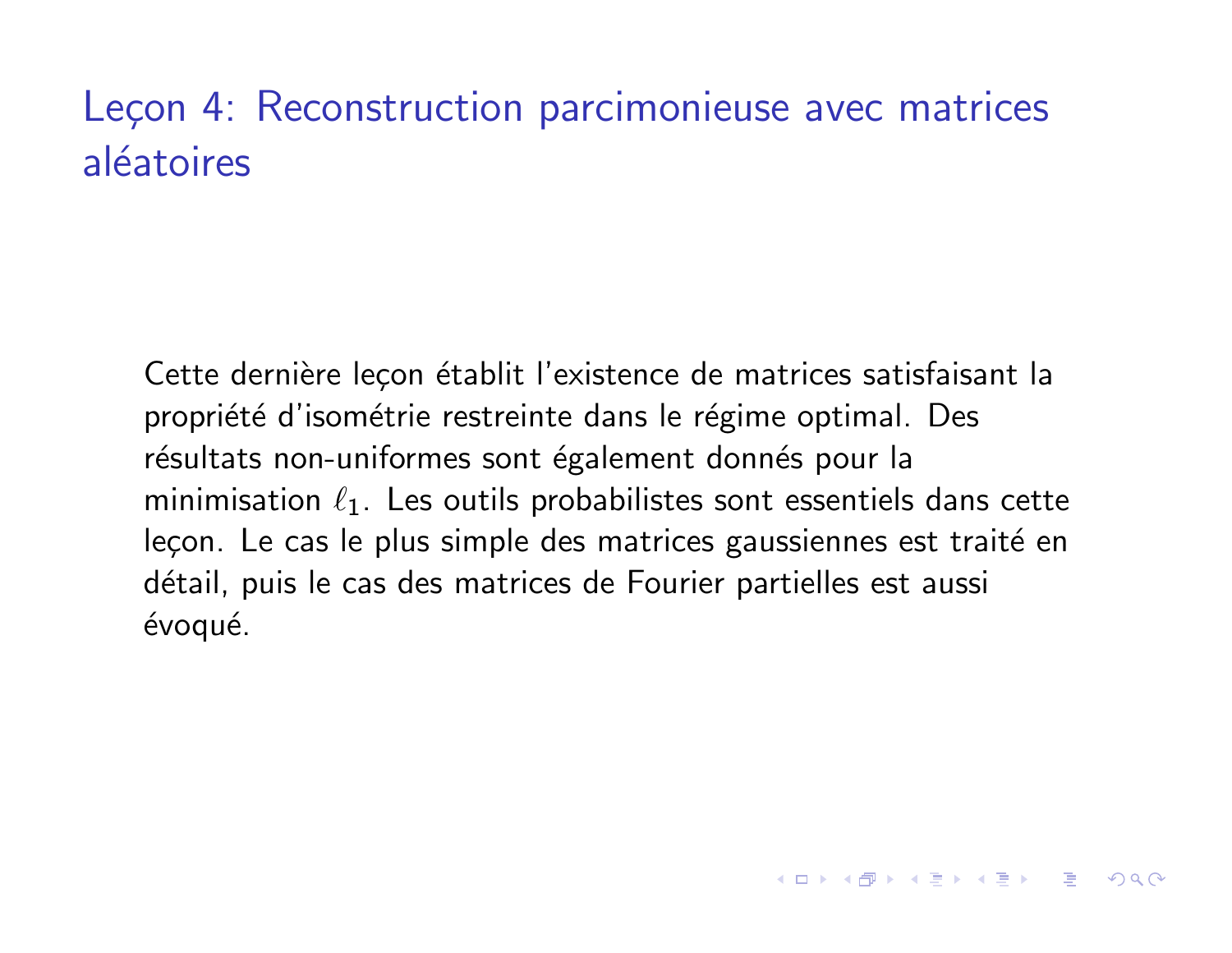# Leçon 4: Reconstruction parcimonieuse avec matrices aléatoires

Cette dernière leçon établit l'existence de matrices satisfaisant la propriété d'isométrie restreinte dans le régime optimal. Des résultats non-uniformes sont également donnés pour la minimisation  $\ell_1$ . Les outils probabilistes sont essentiels dans cette leçon. Le cas le plus simple des matrices gaussiennes est traité en détail, puis le cas des matrices de Fourier partielles est aussi évoqué.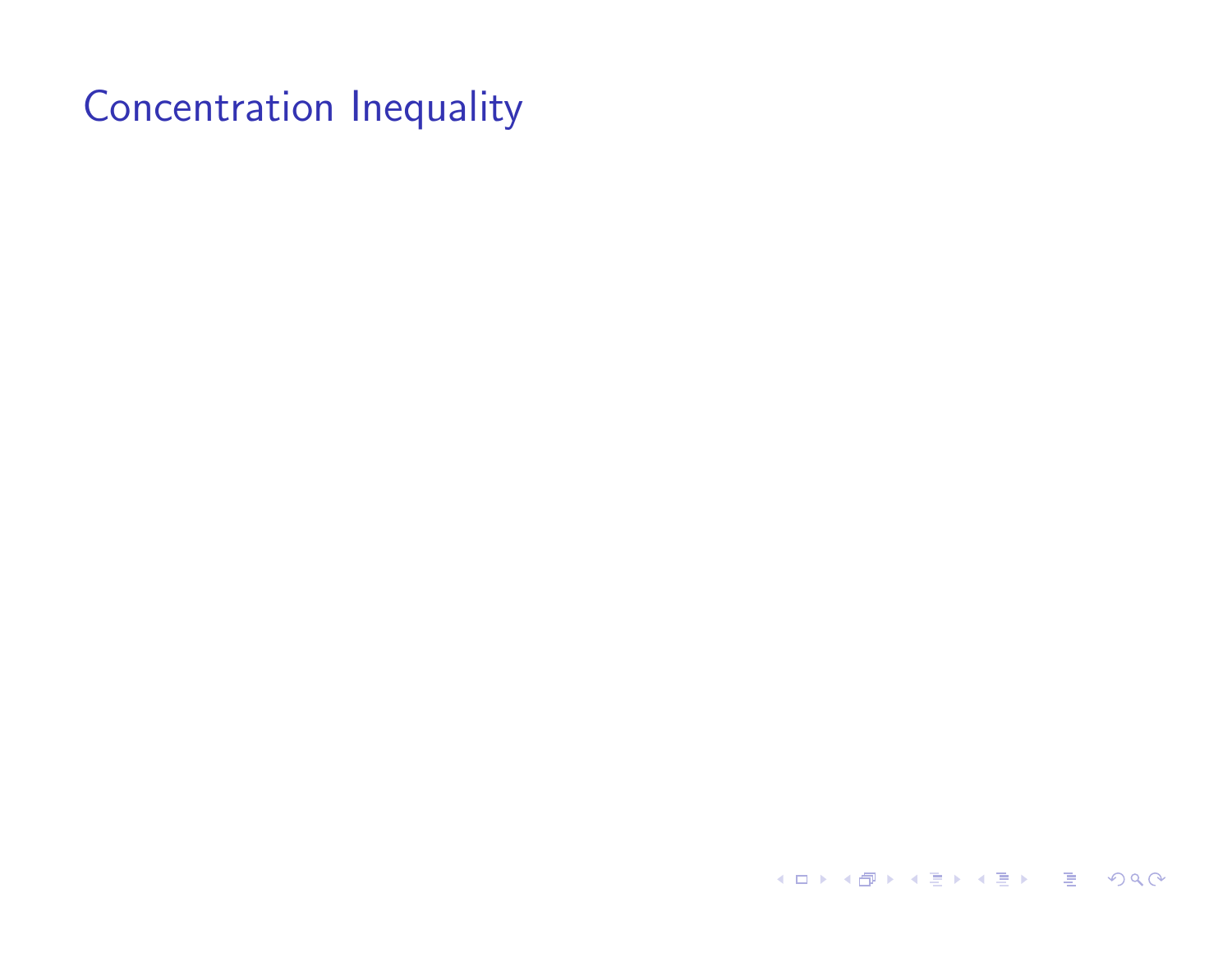K □ ▶ K @ ▶ K 콜 ▶ K 콜 ▶ 『콜 → 이익⊙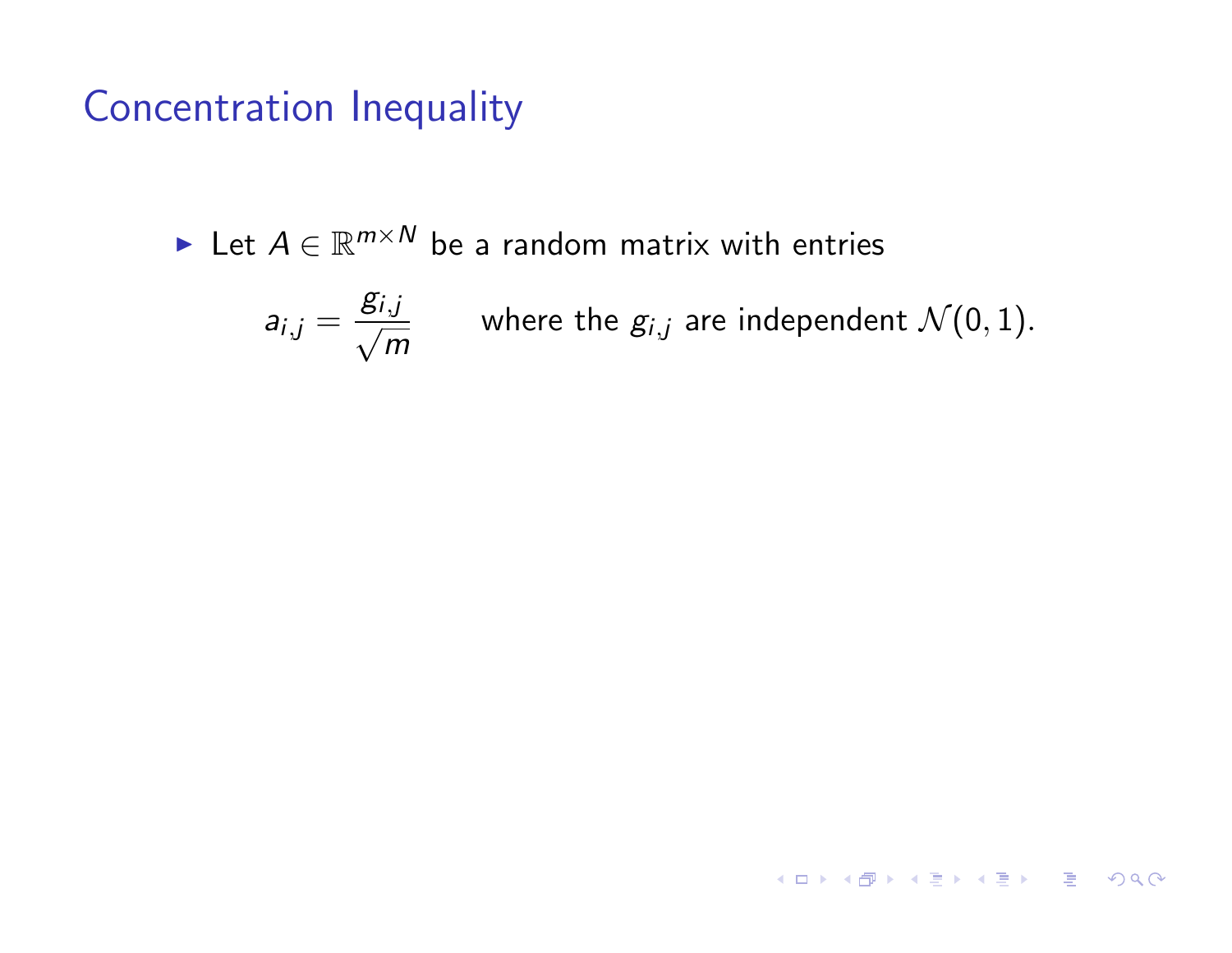$\blacktriangleright$  Let  $A \in \mathbb{R}^{m \times N}$  be a random matrix with entries

$$
a_{i,j} = \frac{g_{i,j}}{\sqrt{m}}
$$
 where the  $g_{i,j}$  are independent  $\mathcal{N}(0,1)$ .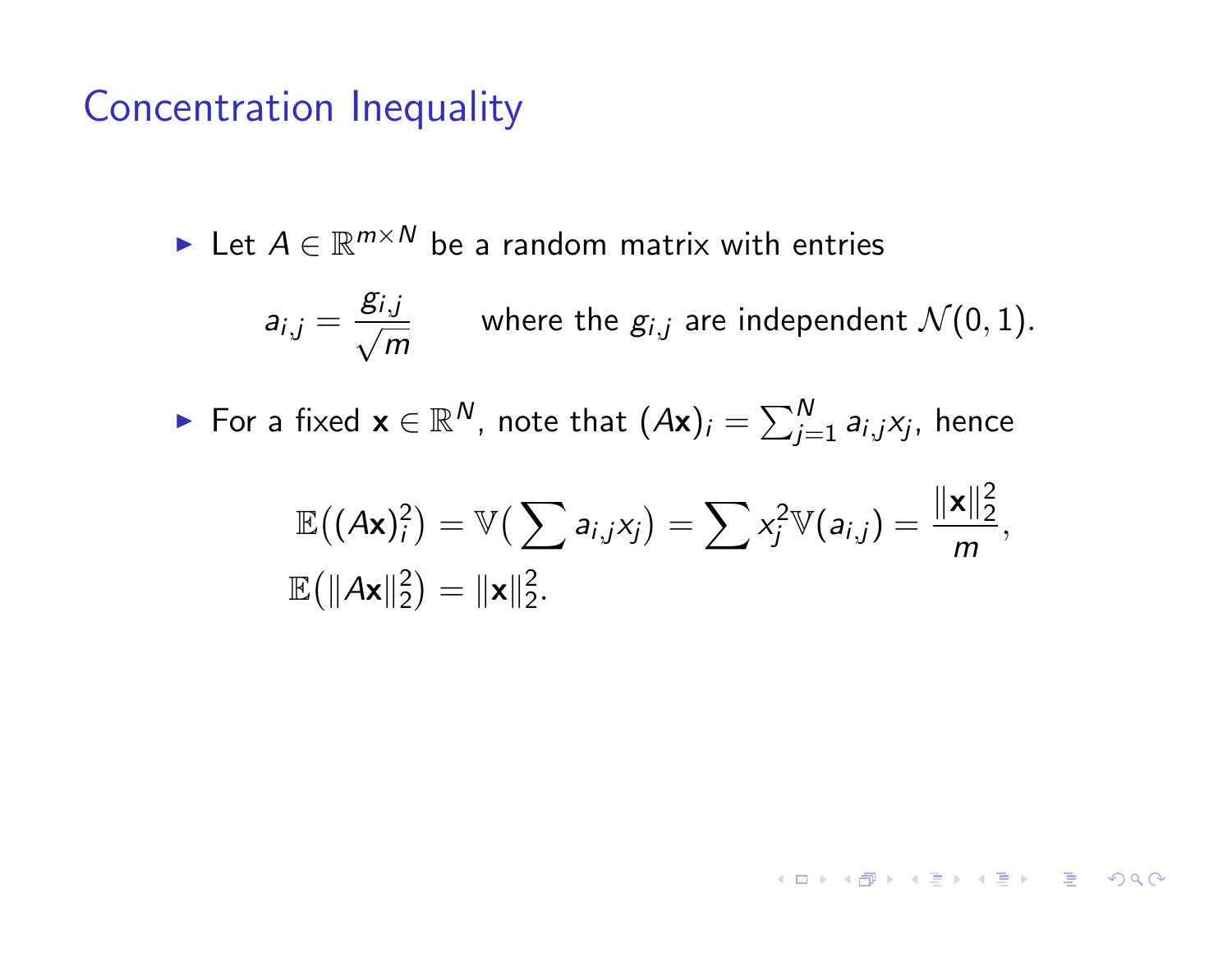► Let  $A \in \mathbb{R}^{m \times N}$  be a random matrix with entries

$$
a_{i,j} = \frac{g_{i,j}}{\sqrt{m}}
$$
 where the  $g_{i,j}$  are independent  $\mathcal{N}(0,1)$ .

▶ For a fixed  $\mathbf{x} \in \mathbb{R}^N$ , note that  $(A\mathbf{x})_i = \sum_{j=1}^N a_{i,j} x_j$ , hence

$$
\mathbb{E}((A\mathbf{x})_i^2) = \mathbb{V}(\sum a_{i,j}x_j) = \sum x_j^2 \mathbb{V}(a_{i,j}) = \frac{\|\mathbf{x}\|_2^2}{m},
$$
  

$$
\mathbb{E}(\|A\mathbf{x}\|_2^2) = \|\mathbf{x}\|_2^2.
$$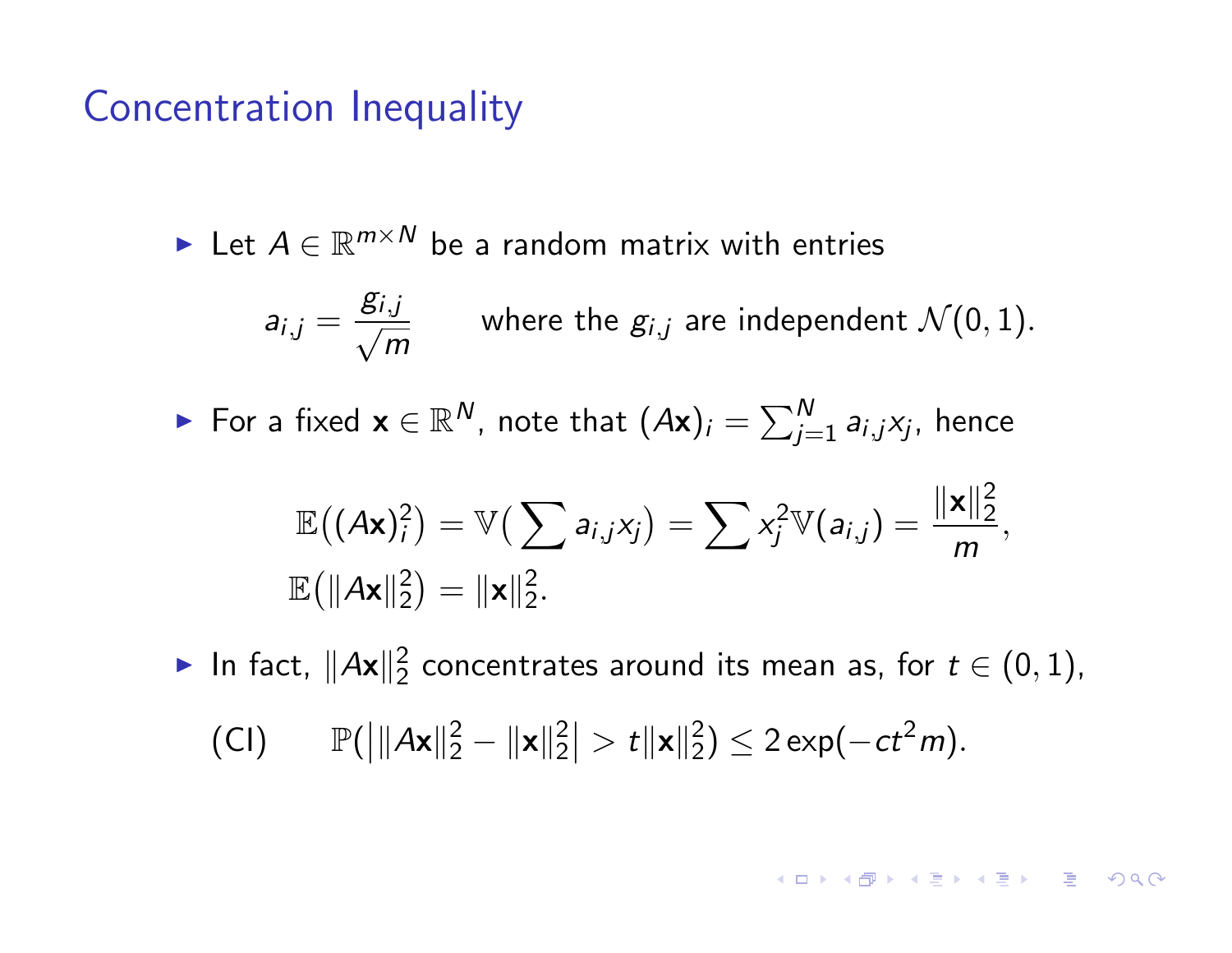Exert  $A \in \mathbb{R}^{m \times N}$  be a random matrix with entries

$$
a_{i,j} = \frac{g_{i,j}}{\sqrt{m}}
$$
 where the  $g_{i,j}$  are independent  $\mathcal{N}(0,1)$ .

▶ For a fixed  $\mathbf{x} \in \mathbb{R}^N$ , note that  $(A\mathbf{x})_i = \sum_{j=1}^N a_{i,j} x_j$ , hence

$$
\mathbb{E}((A\mathbf{x})_i^2) = \mathbb{V}(\sum a_{i,j}x_j) = \sum x_j^2 \mathbb{V}(a_{i,j}) = \frac{\|\mathbf{x}\|_2^2}{m},
$$
  

$$
\mathbb{E}(\|A\mathbf{x}\|_2^2) = \|\mathbf{x}\|_2^2.
$$

▶ In fact,  $||Ax||_2^2$  concentrates around its mean as, for  $t \in (0,1)$ , (CI)  $\mathbb{P}(\|\mathbf{Ax}\|_2^2 - \|\mathbf{x}\|_2^2)$  $| > t ||\mathbf{x}||_2^2$ )  $\leq 2 \exp(-ct^2 m)$ .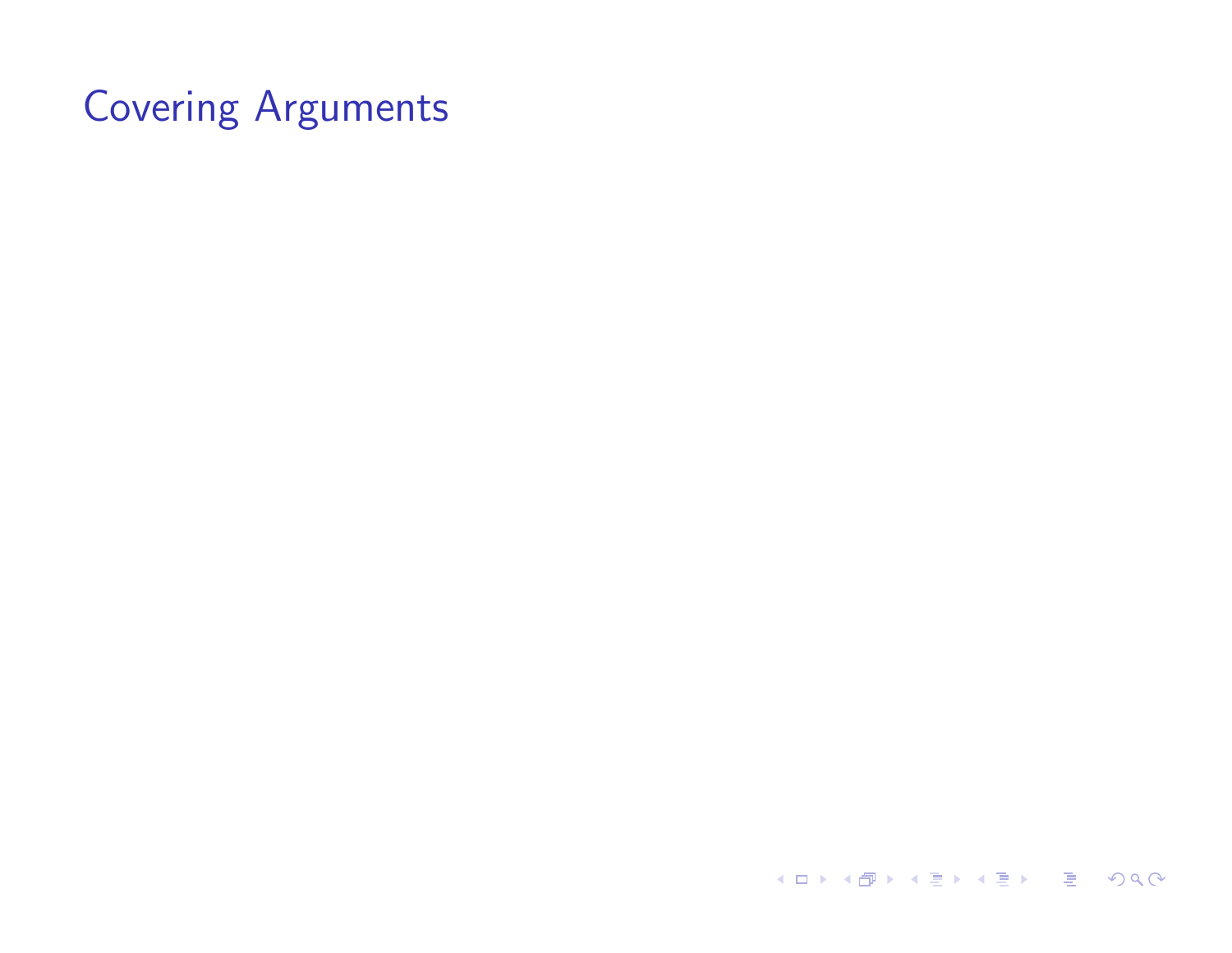**イロト (伊) (ミ) (ミ) (ミ) ミーのQC**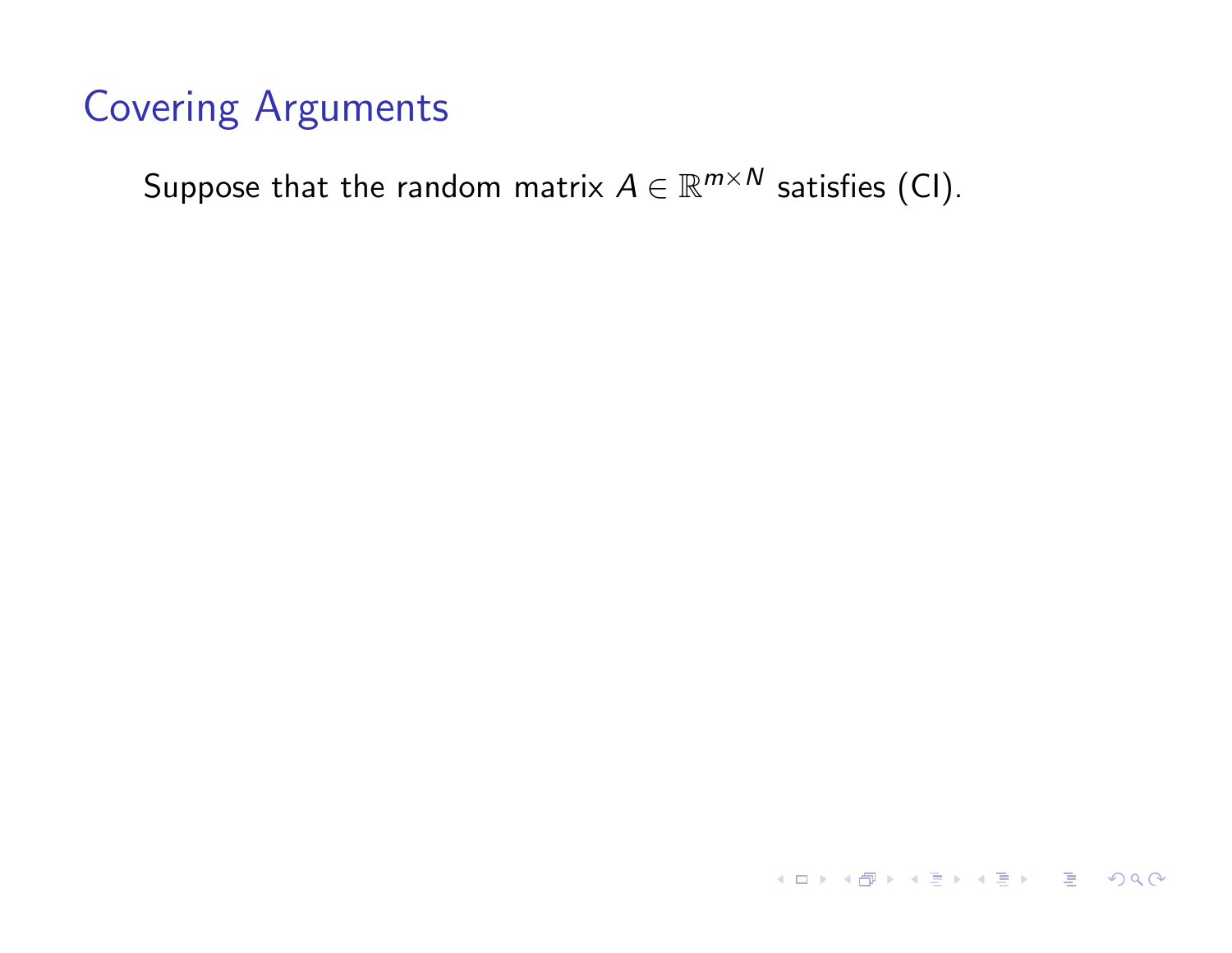Suppose that the random matrix  $A \in \mathbb{R}^{m \times N}$  satisfies (CI).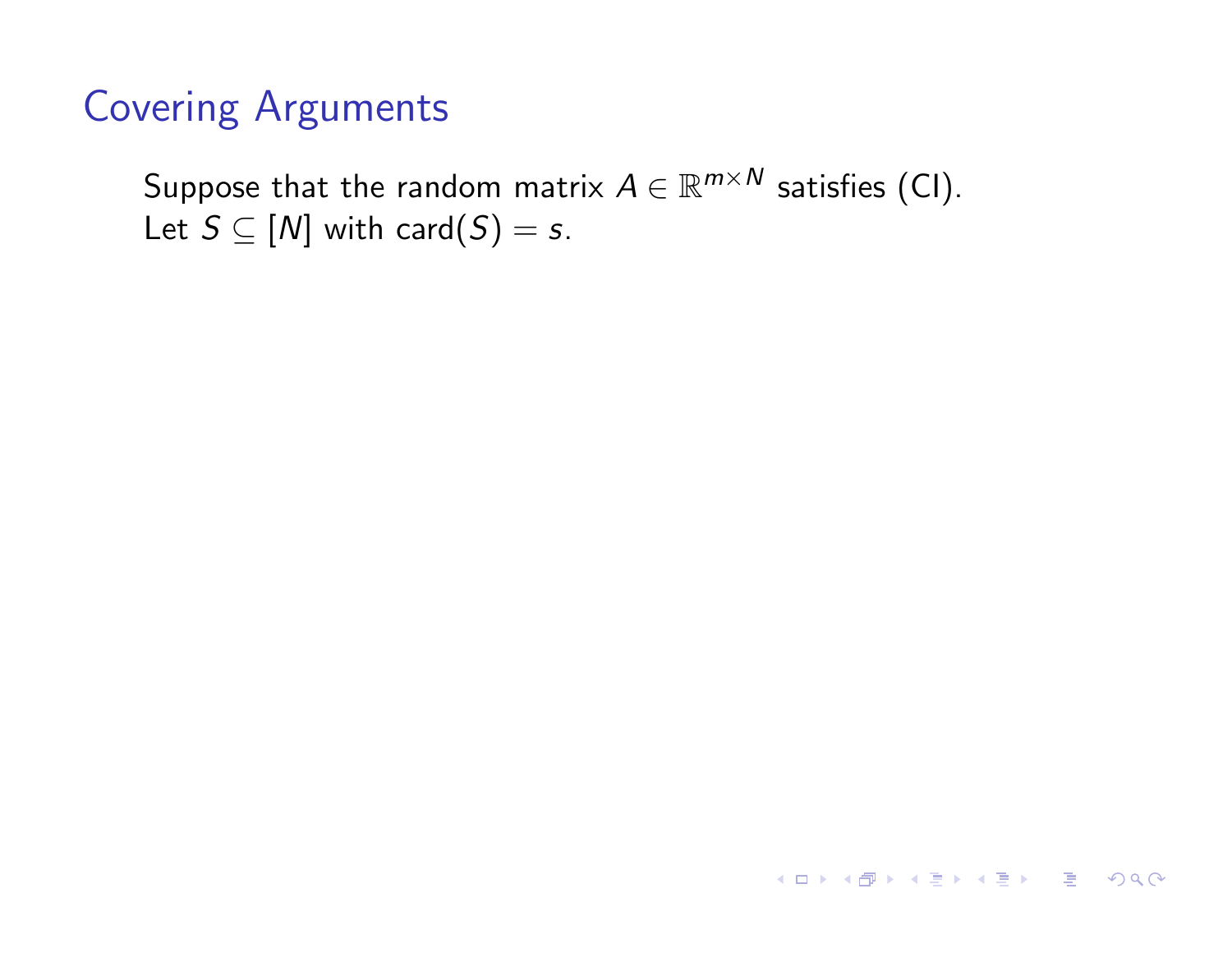Suppose that the random matrix  $A \in \mathbb{R}^{m \times N}$  satisfies (CI). Let  $S \subseteq [N]$  with card $(S) = s$ .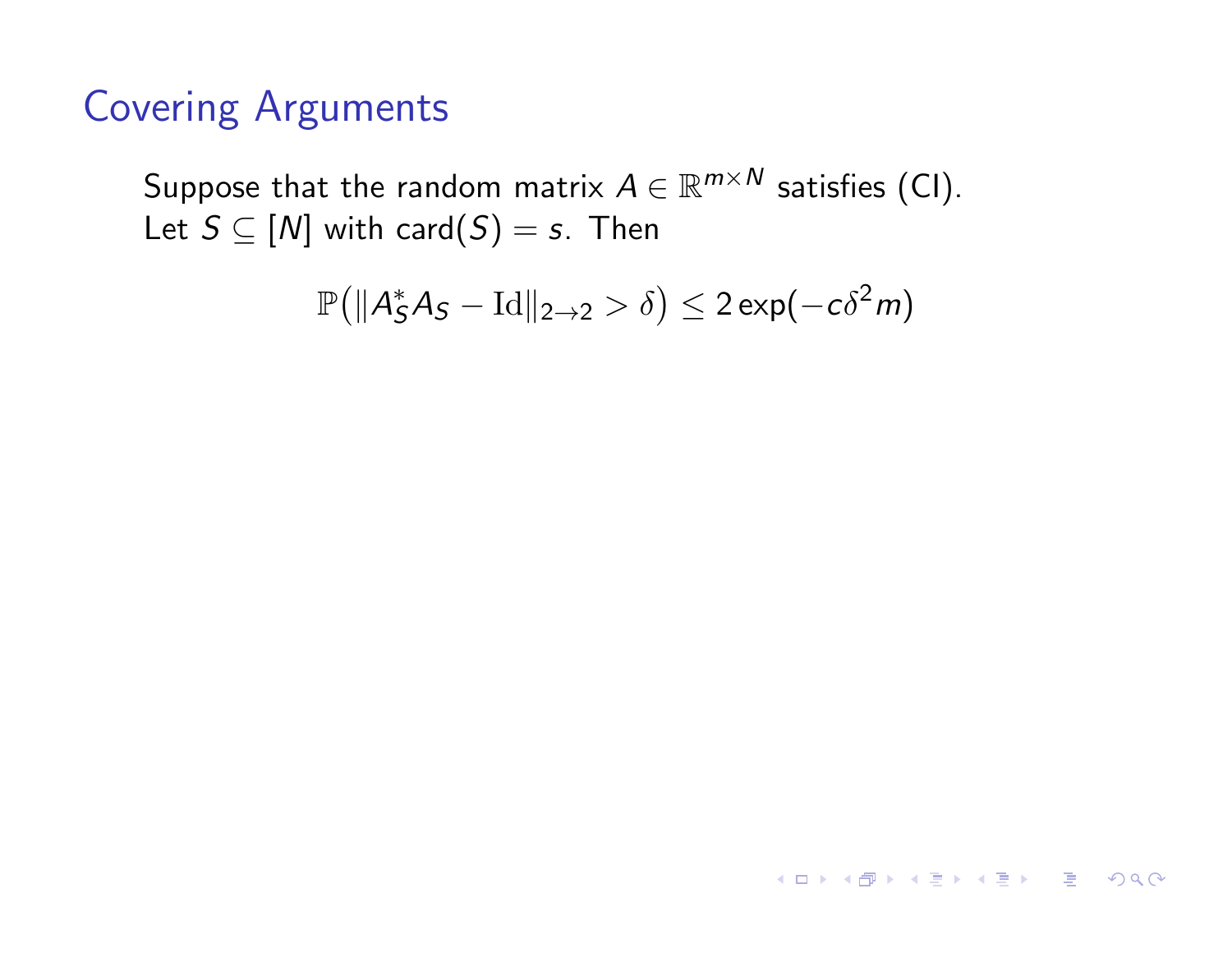Suppose that the random matrix  $A \in \mathbb{R}^{m \times N}$  satisfies (CI). Let  $S \subseteq [N]$  with card $(S) = s$ . Then

$$
\mathbb{P}\big(\|A_S^*A_S-\operatorname{Id}\|_{2\to 2}>\delta\big)\leq 2\exp(-c\delta^2 m)
$$

**K ロ ▶ K 레 ▶ K 코 ▶ K 코 ▶ - 코 - 990**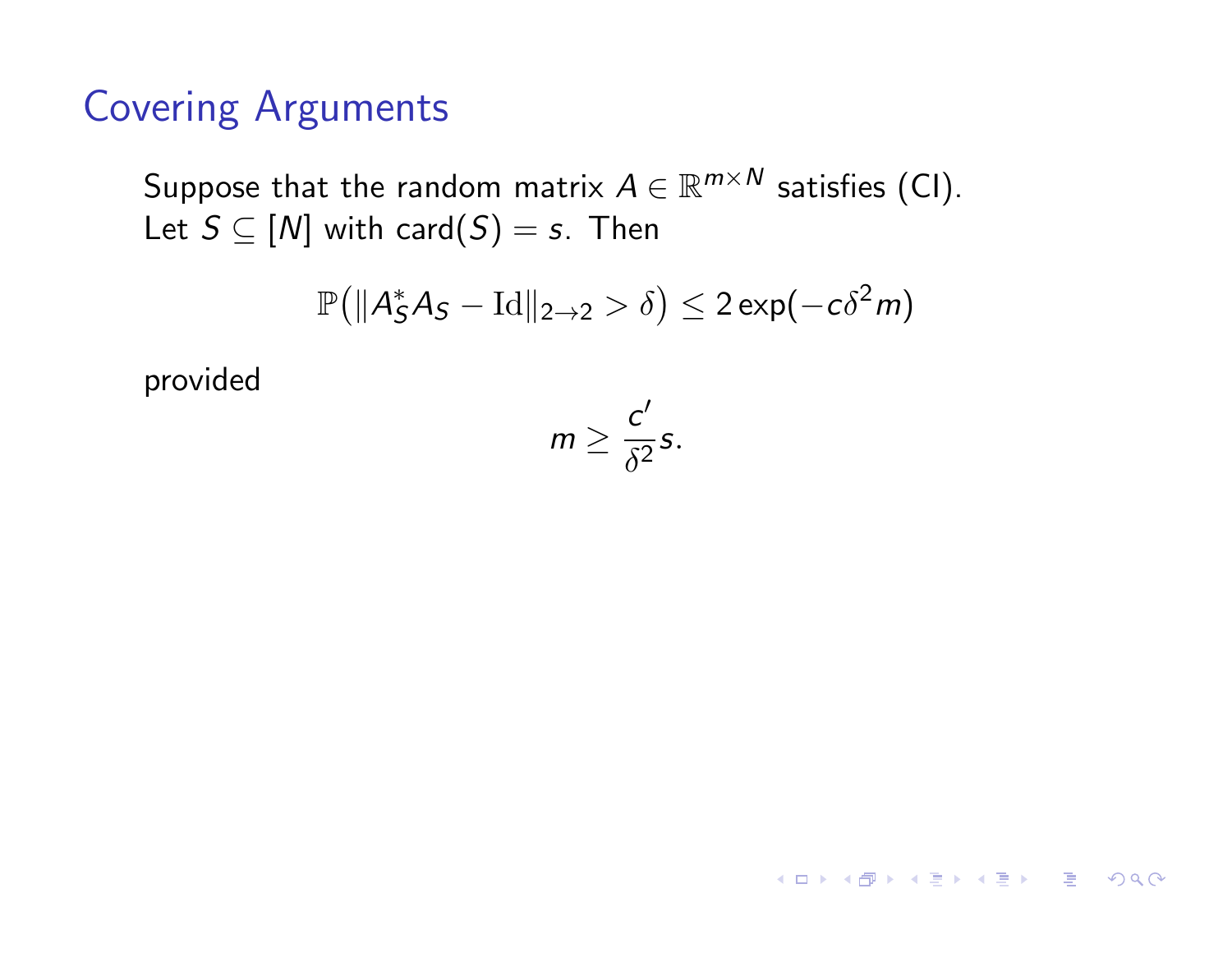Suppose that the random matrix  $A \in \mathbb{R}^{m \times N}$  satisfies (CI). Let  $S \subseteq [N]$  with card $(S) = s$ . Then

$$
\mathbb{P}\big(\|A_S^*A_S - \text{Id}\|_{2\to 2} > \delta\big) \leq 2\exp(-c\delta^2 m)
$$

provided

$$
m\geq \frac{c'}{\delta^2}s.
$$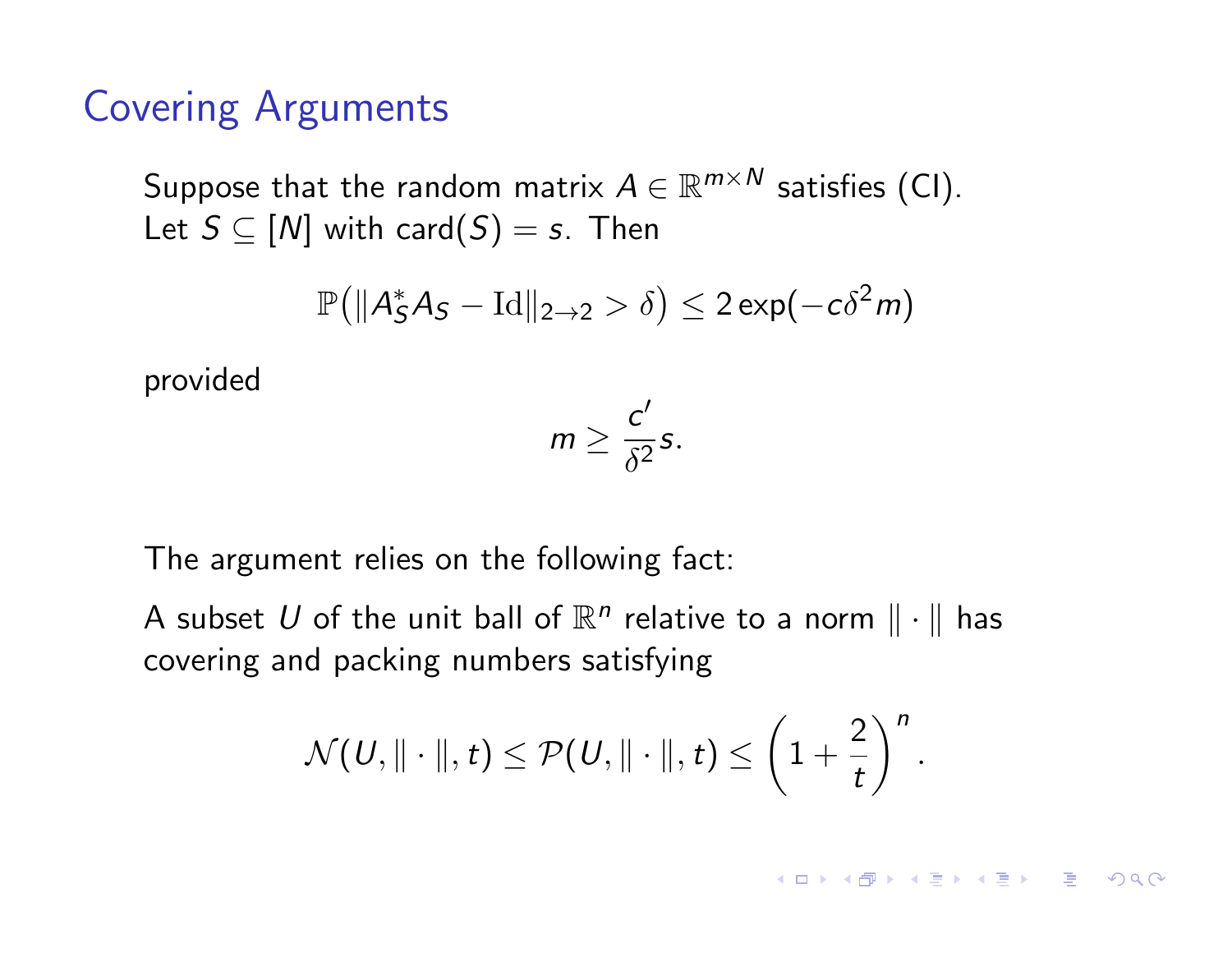Suppose that the random matrix  $A \in \mathbb{R}^{m \times N}$  satisfies (CI). Let  $S \subseteq [N]$  with card $(S) = s$ . Then

$$
\mathbb{P}\big(\|A_S^*A_S - \text{Id}\|_{2\to 2} > \delta\big) \leq 2\exp(-c\delta^2 m)
$$

provided

$$
m\geq \frac{c'}{\delta^2}s.
$$

The argument relies on the following fact:

A subset U of the unit ball of  $\mathbb{R}^n$  relative to a norm  $\|\cdot\|$  has covering and packing numbers satisfying

$$
\mathcal{N}(\mathit{U},\|\cdot\|,t) \leq \mathcal{P}(\mathit{U},\|\cdot\|,t) \leq \left(1+\frac{2}{t}\right)^n.
$$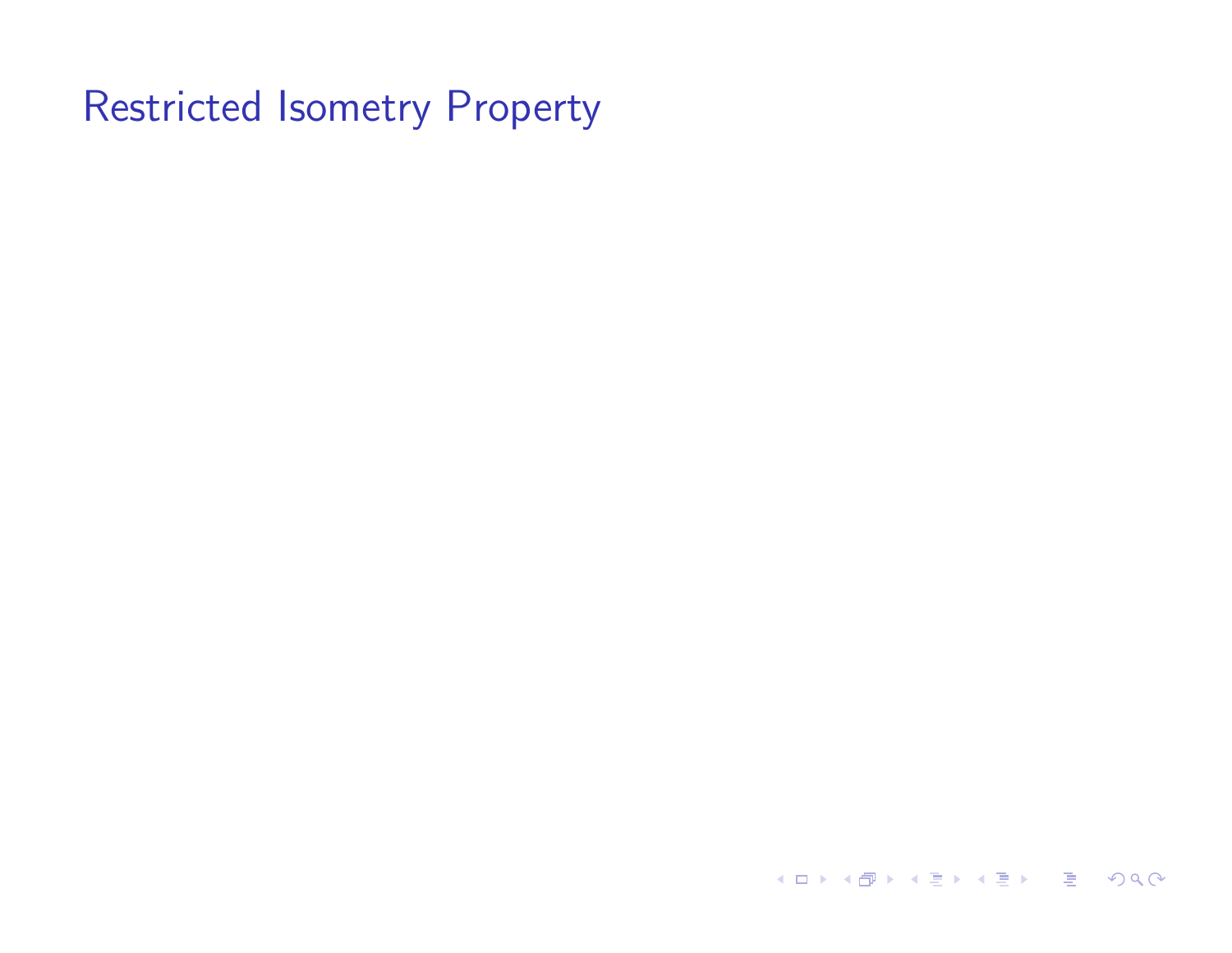**K ロ ▶ K 御 ▶ K 聖 ▶ K 聖 ▶ │ 重 │ めぬ⊙**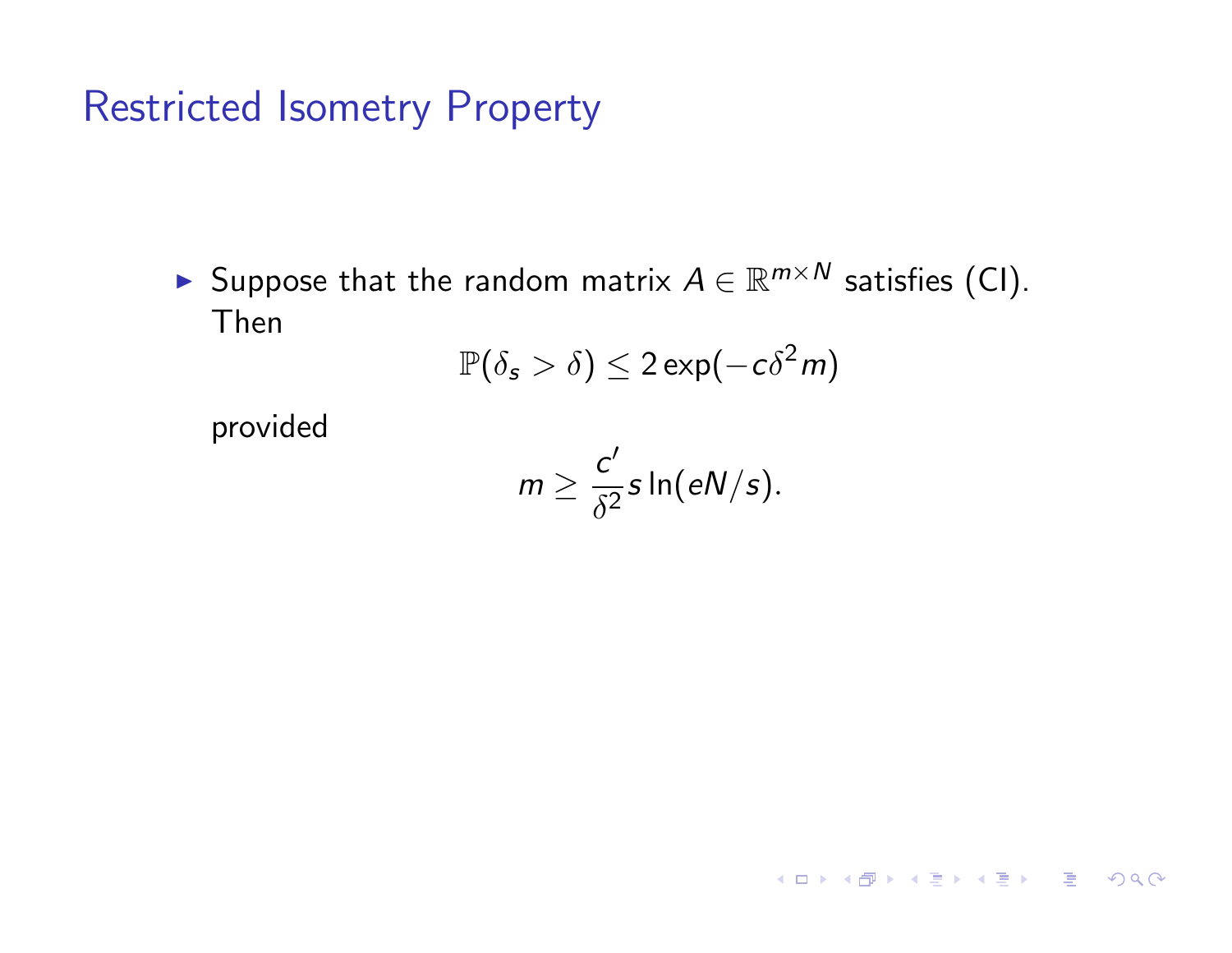► Suppose that the random matrix  $A \in \mathbb{R}^{m \times N}$  satisfies (CI). Then

$$
\mathbb{P}(\delta_{\mathsf{s}} > \delta) \leq 2\exp(-c\delta^2 m)
$$

provided

$$
m \geq \frac{c'}{\delta^2} s \ln(eN/s).
$$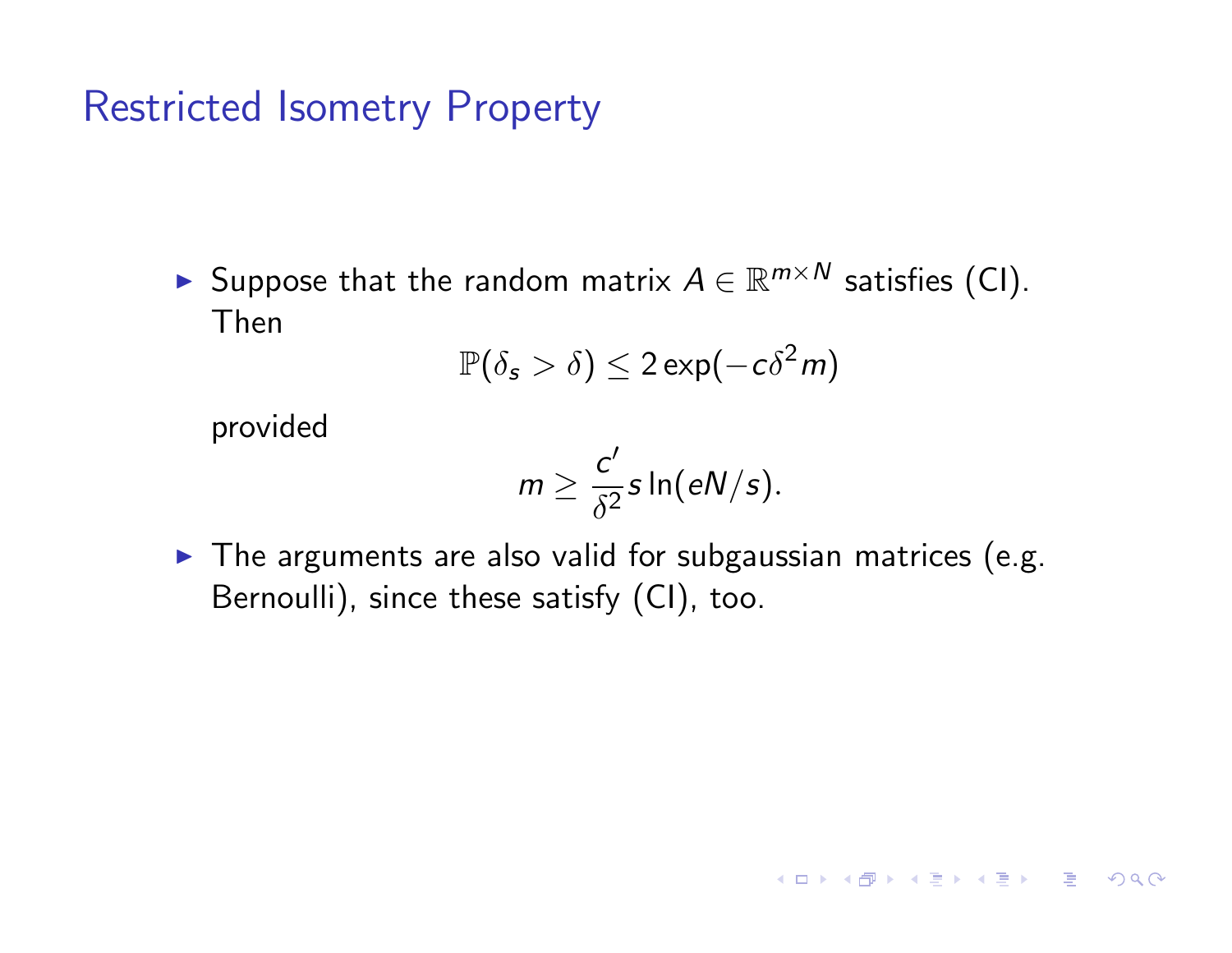► Suppose that the random matrix  $A \in \mathbb{R}^{m \times N}$  satisfies (CI). Then

$$
\mathbb{P}(\delta_{\mathsf{s}} > \delta) \leq 2\exp(-c\delta^2 m)
$$

provided

$$
m \geq \frac{c'}{\delta^2} s \ln(eN/s).
$$

 $\blacktriangleright$  The arguments are also valid for subgaussian matrices (e.g. Bernoulli), since these satisfy (CI), too.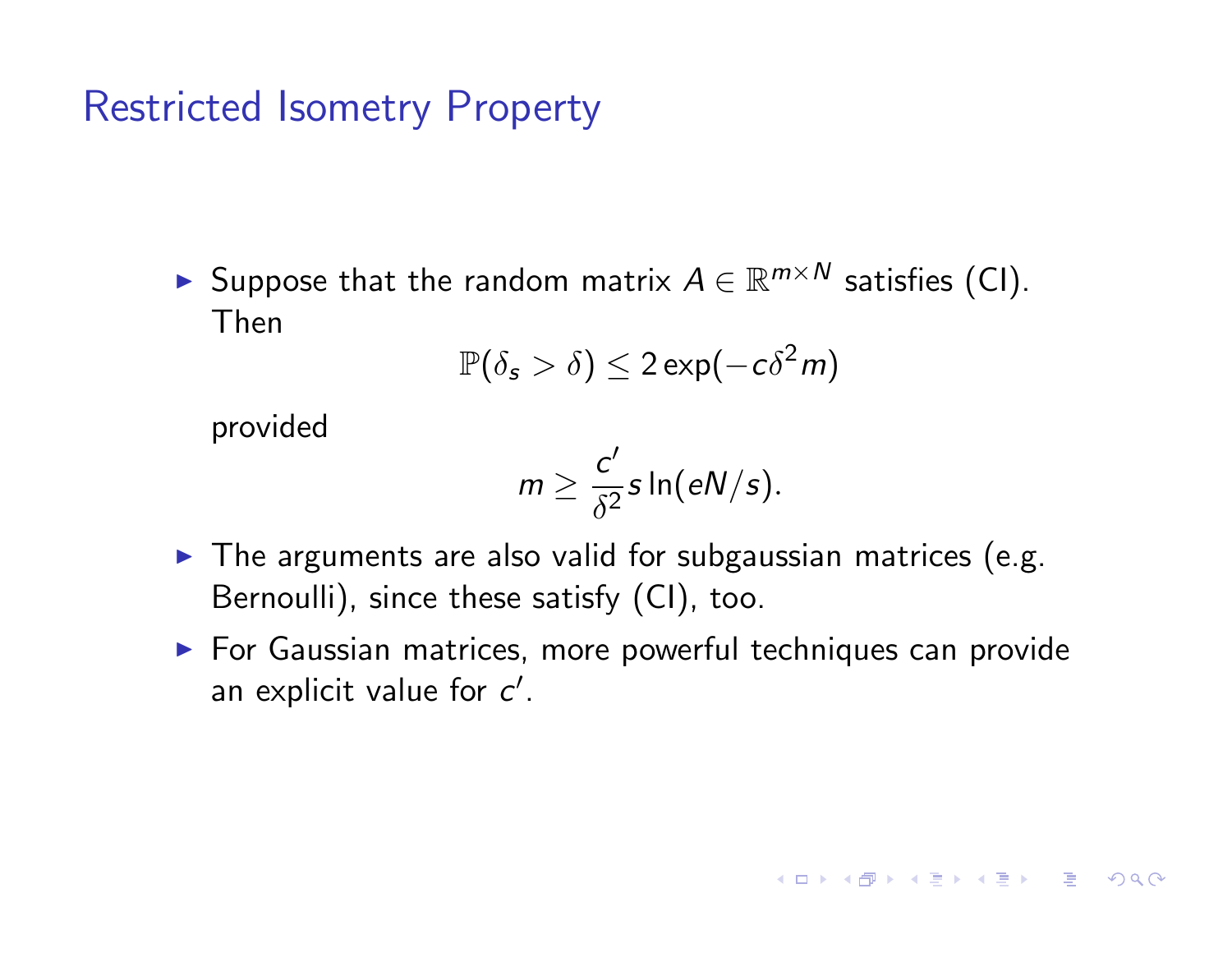► Suppose that the random matrix  $A \in \mathbb{R}^{m \times N}$  satisfies (CI). Then

$$
\mathbb{P}(\delta_{\mathsf{s}} > \delta) \leq 2\exp(-c\delta^2 m)
$$

provided

$$
m \geq \frac{c'}{\delta^2} s \ln(eN/s).
$$

- $\blacktriangleright$  The arguments are also valid for subgaussian matrices (e.g. Bernoulli), since these satisfy (CI), too.
- **EXEC** For Gaussian matrices, more powerful techniques can provide an explicit value for  $c'$ .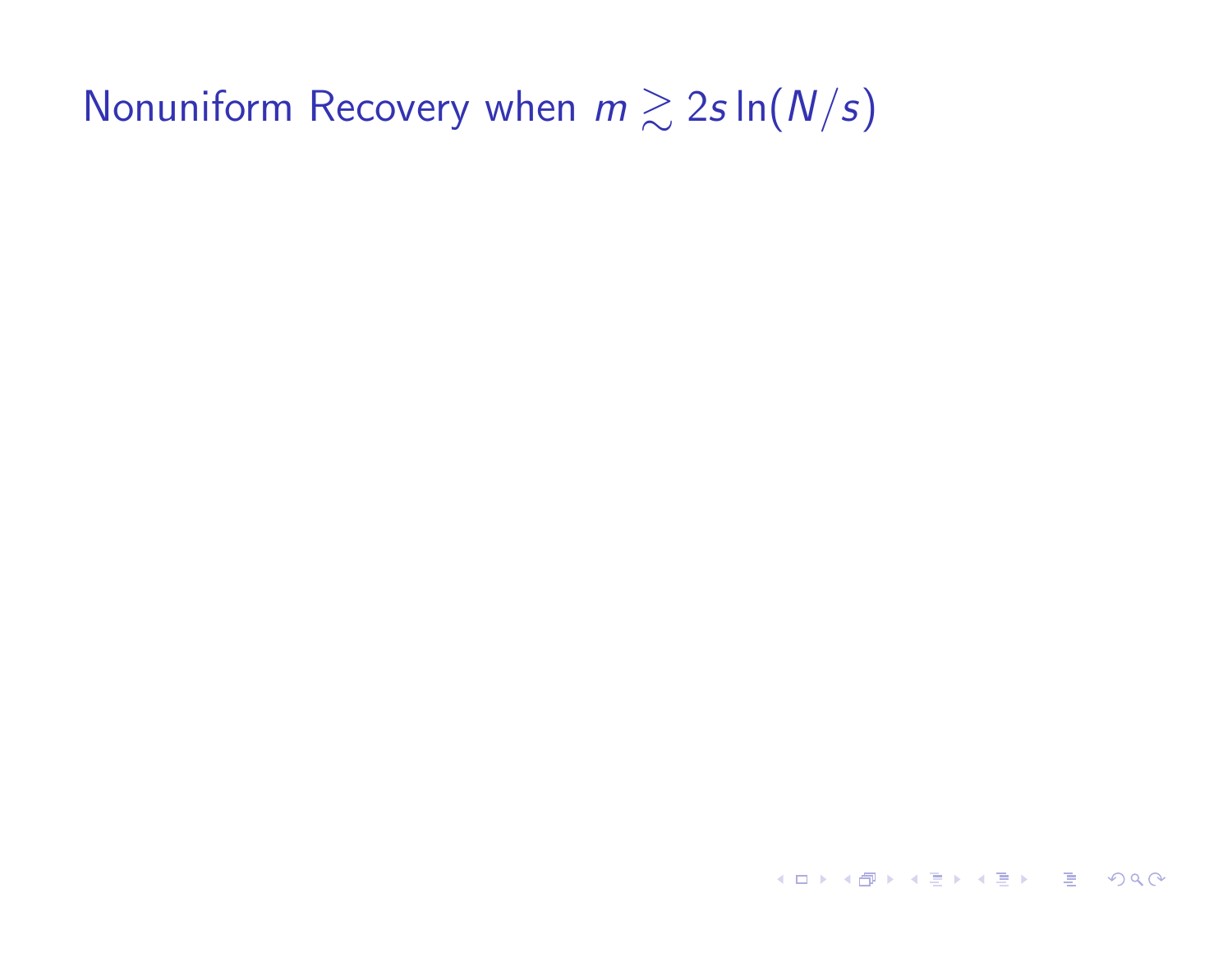KID KA KE K KE K E VA C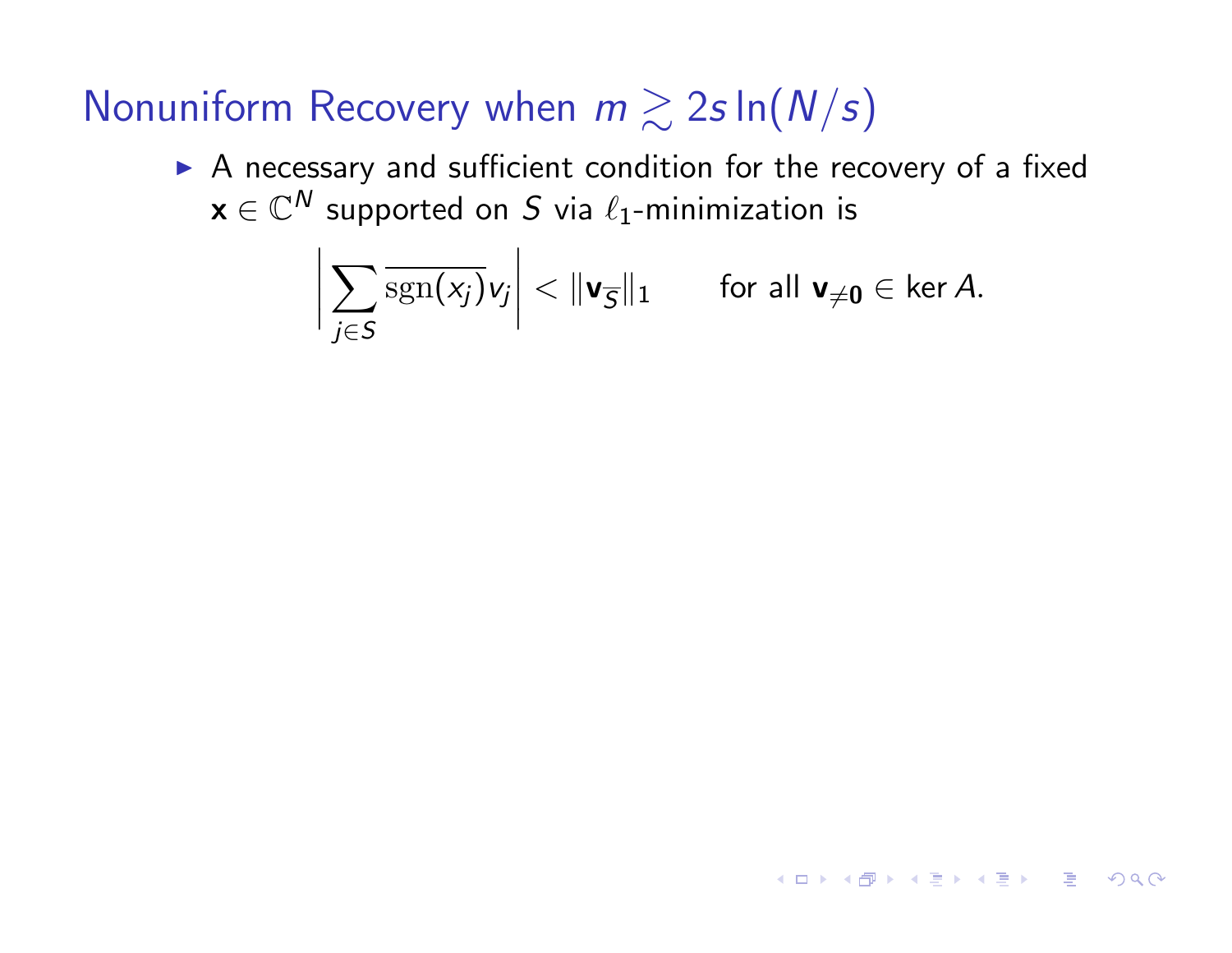A necessary and sufficient condition for the recovery of a fixed  $x \in \mathbb{C}^N$  supported on *S* via  $\ell_1$ -minimization is

$$
\bigg|\sum_{j\in S}\overline{\mathrm{sgn}(x_j)}v_j\bigg|<\|\mathbf{v}_{\overline{S}}\|_1\qquad\text{for all }\mathbf{v}_{\neq\mathbf{0}}\in\ker A.
$$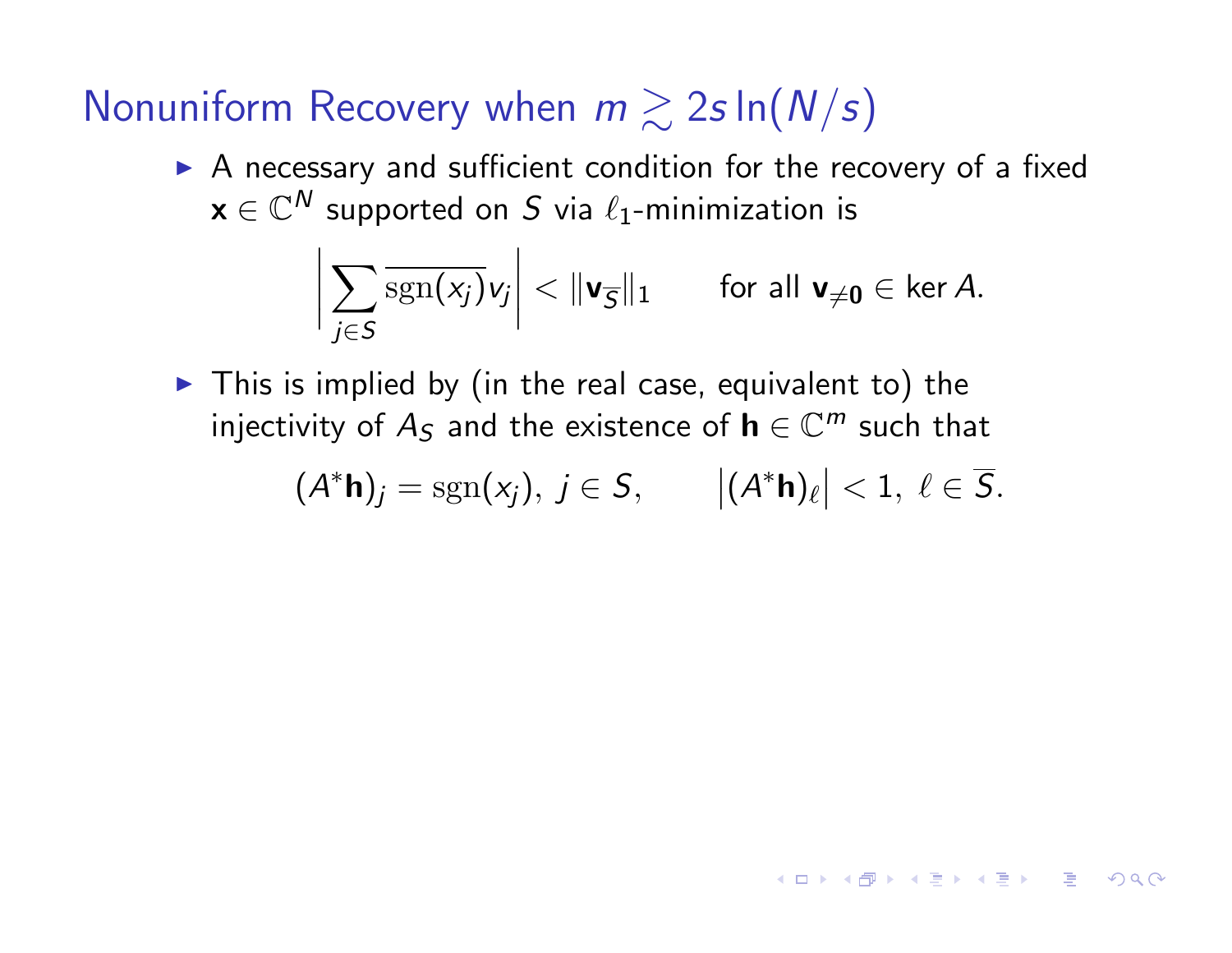! A necessary and sufficient condition for the recovery of a fixed  $x \in \mathbb{C}^N$  supported on *S* via  $\ell_1$ -minimization is

$$
\bigg|\sum_{j\in S}\overline{\mathrm{sgn}(x_j)}v_j\bigg|<\|\textbf{v}_{\overline{S}}\|_1\qquad\text{for all }\textbf{v}_{\neq\textbf{0}}\in\ker A.
$$

 $\blacktriangleright$  This is implied by (in the real case, equivalent to) the injectivity of  $A_S$  and the existence of  $h \in \mathbb{C}^m$  such that

$$
(A^* \mathbf{h})_j = \mathrm{sgn}(x_j), \ j \in \mathcal{S}, \qquad |(A^* \mathbf{h})_\ell| < 1, \ \ell \in \overline{\mathcal{S}}.
$$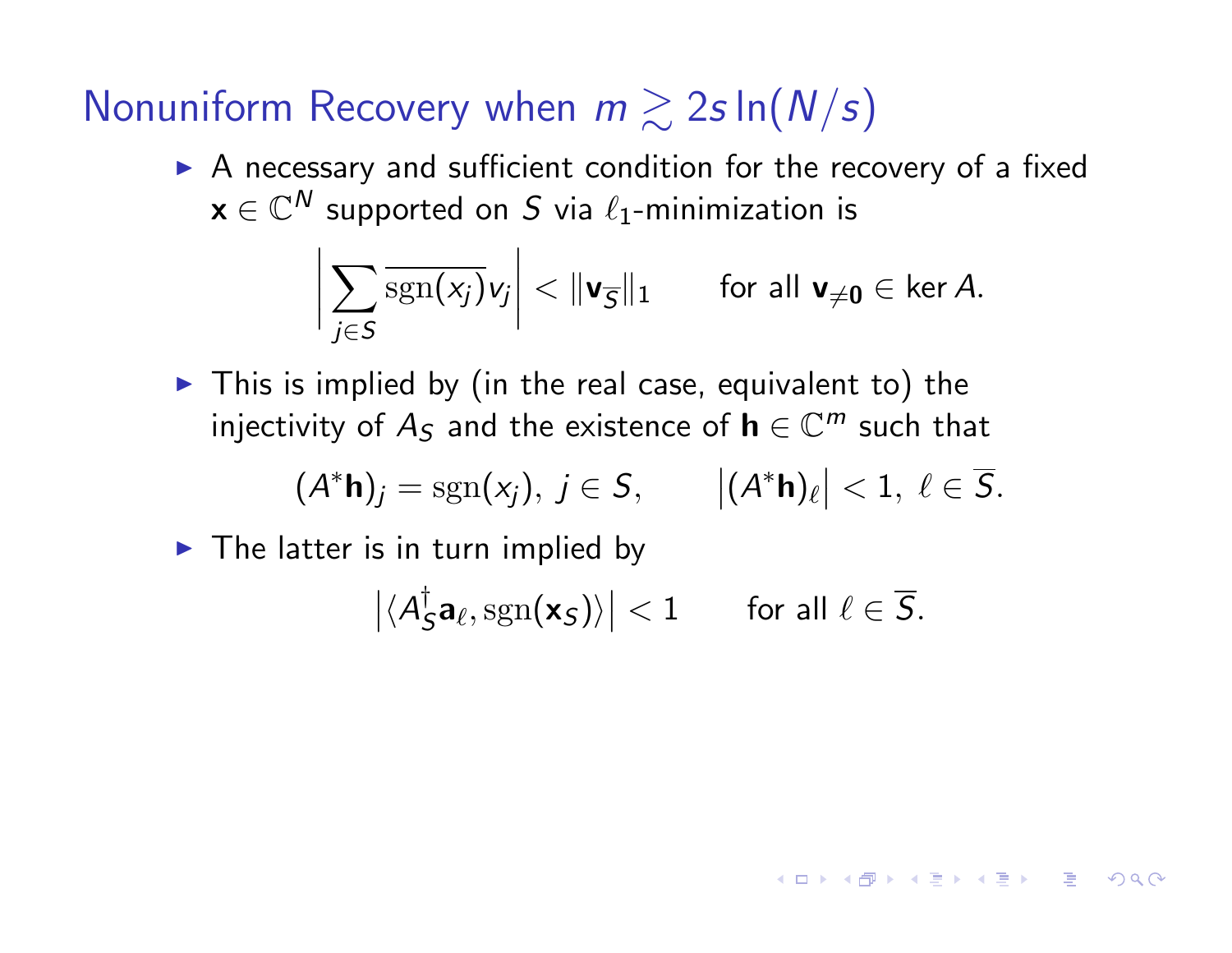! A necessary and sufficient condition for the recovery of a fixed  $x \in \mathbb{C}^N$  supported on *S* via  $\ell_1$ -minimization is

$$
\bigg|\sum_{j\in S}\overline{\mathrm{sgn}(x_j)}v_j\bigg|<\|\textbf{v}_{\overline{S}}\|_1\qquad\text{for all }\textbf{v}_{\neq\textbf{0}}\in\ker A.
$$

 $\blacktriangleright$  This is implied by (in the real case, equivalent to) the injectivity of  $A_S$  and the existence of  $h \in \mathbb{C}^m$  such that

$$
(A^* \mathbf{h})_j = \mathrm{sgn}(x_j), \ j \in \mathcal{S}, \qquad |(A^* \mathbf{h})_\ell| < 1, \ \ell \in \overline{\mathcal{S}}.
$$

 $\blacktriangleright$  The latter is in turn implied by

$$
\left|\langle A_{\mathcal{S}}^{\dagger} {\mathbf{a}}_{\ell}, \mathrm{sgn}({\mathbf{x}}_{\mathcal{S}}) \rangle\right| < 1 \qquad \text{for all } \ell \in \overline{\mathcal{S}}.
$$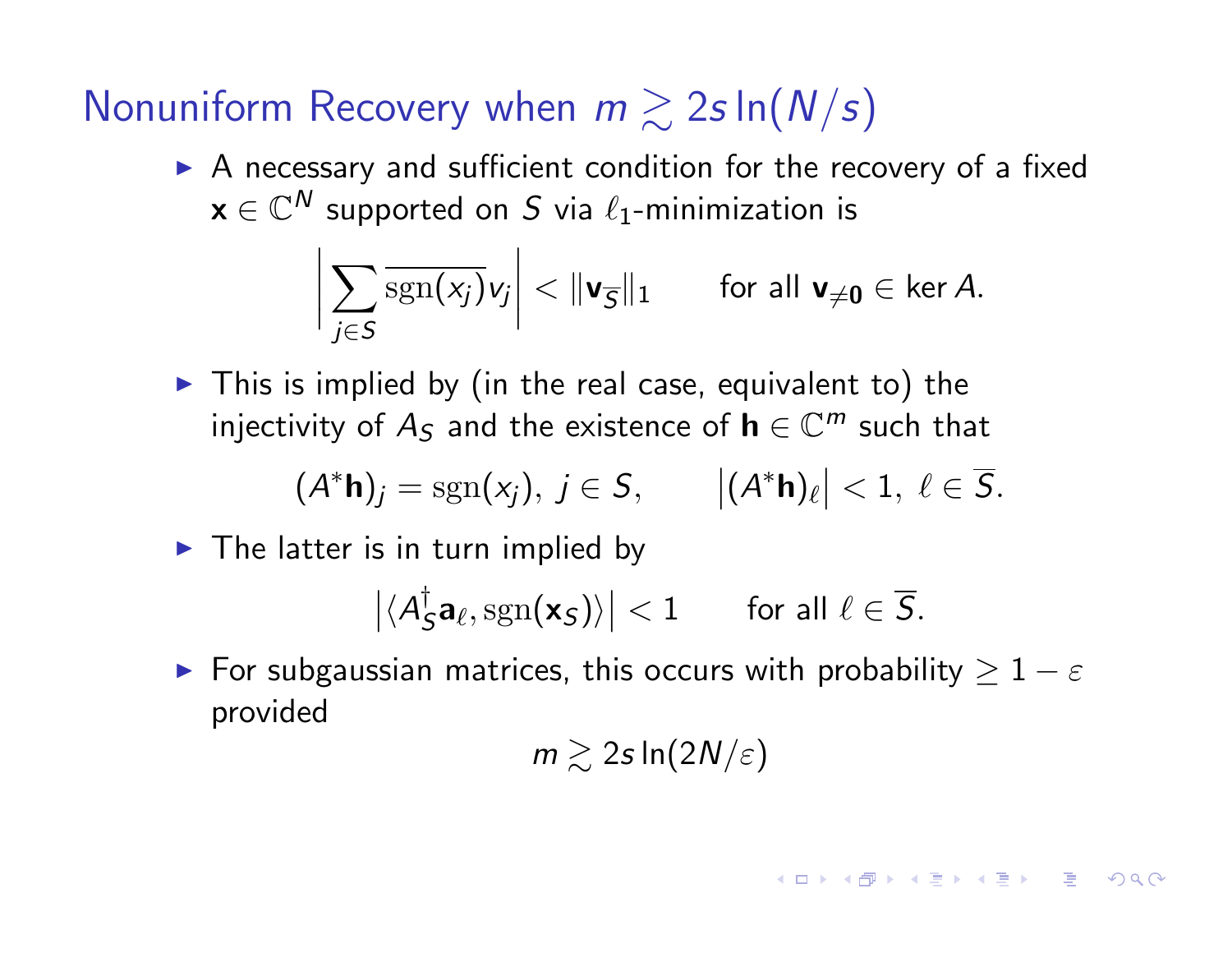*WEST TEXT TO THE* 

 $\triangleright$  A necessary and sufficient condition for the recovery of a fixed  $x \in \mathbb{C}^N$  supported on S via  $\ell_1$ -minimization is

$$
\bigg|\sum_{j\in S}\overline{\mathrm{sgn}(x_j)}v_j\bigg|<\|\textbf{v}_{\overline{S}}\|_1\qquad\text{for all }\textbf{v}_{\neq\textbf{0}}\in\ker A.
$$

 $\blacktriangleright$  This is implied by (in the real case, equivalent to) the injectivity of  $A_5$  and the existence of  $h \in \mathbb{C}^m$  such that

$$
(A^* \mathbf{h})_j = \mathrm{sgn}(x_j), \ j \in \mathcal{S}, \qquad |(A^* \mathbf{h})_\ell| < 1, \ \ell \in \overline{\mathcal{S}}.
$$

 $\blacktriangleright$  The latter is in turn implied by

$$
\left|\langle A_S^\dagger \mathbf{a}_\ell, \mathrm{sgn}(\mathbf{x}_S)\rangle\right| < 1 \qquad \text{for all } \ell \in \overline{S}.
$$

 $\blacktriangleright$  For subgaussian matrices, this occurs with probability  $\geq 1-\varepsilon$ provided

 $m \gtrsim 2s \ln(2N/\varepsilon)$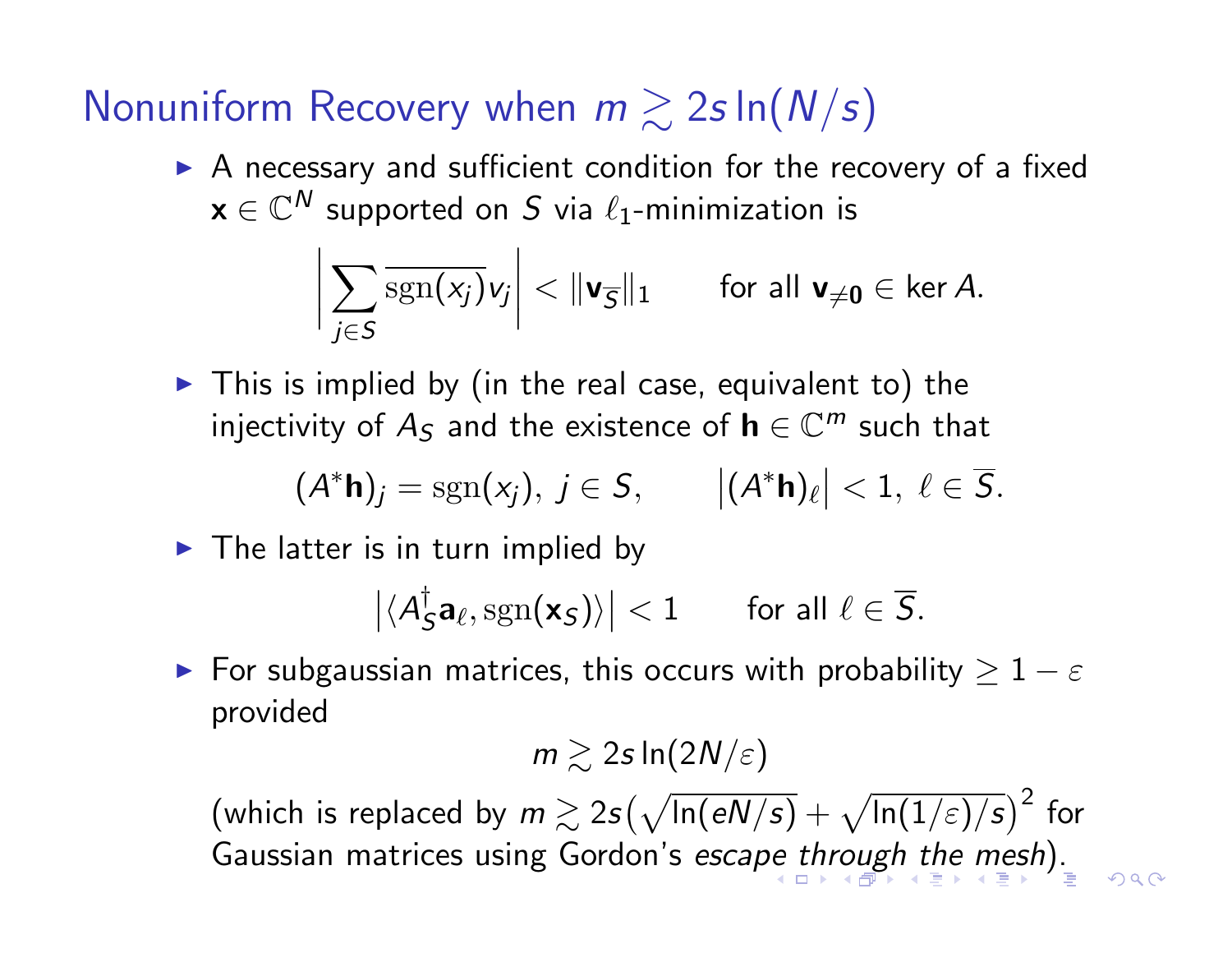$\mathbf{r}$ 

 $\triangleright$  A necessary and sufficient condition for the recovery of a fixed  $x \in \mathbb{C}^N$  supported on *S* via  $\ell_1$ -minimization is

$$
\bigg|\sum_{j\in S}\overline{\mathrm{sgn}(x_j)}v_j\bigg|<\|\textbf{v}_{\overline{S}}\|_1\qquad\text{for all }\textbf{v}_{\neq\textbf{0}}\in\ker A.
$$

 $\blacktriangleright$  This is implied by (in the real case, equivalent to) the injectivity of  $A_5$  and the existence of  $h \in \mathbb{C}^m$  such that

$$
(A^* \mathbf{h})_j = \mathrm{sgn}(x_j), \ j \in \mathcal{S}, \qquad |(A^* \mathbf{h})_\ell| < 1, \ \ell \in \overline{\mathcal{S}}.
$$

 $\blacktriangleright$  The latter is in turn implied by

$$
\left|\langle A_S^{\dagger} \mathbf{a}_{\ell}, \mathrm{sgn}(\mathbf{x}_S) \rangle\right| < 1 \qquad \text{for all } \ell \in \overline{S}.
$$

 $\blacktriangleright$  For subgaussian matrices, this occurs with probability  $\geq 1-\varepsilon$ provided

 $m \gtrsim 2s \ln(2N/\varepsilon)$ 

 $\left(\textsf{which is replaced by}\; m\gtrsim 2s\big(\sqrt{\textsf{In}(eN/s)}+\sqrt{\textsf{In}(1/\varepsilon)/s}\big)^2\;\textsf{for}\right)$ Gaussian matrices using Gordon's *escape through the mesh*).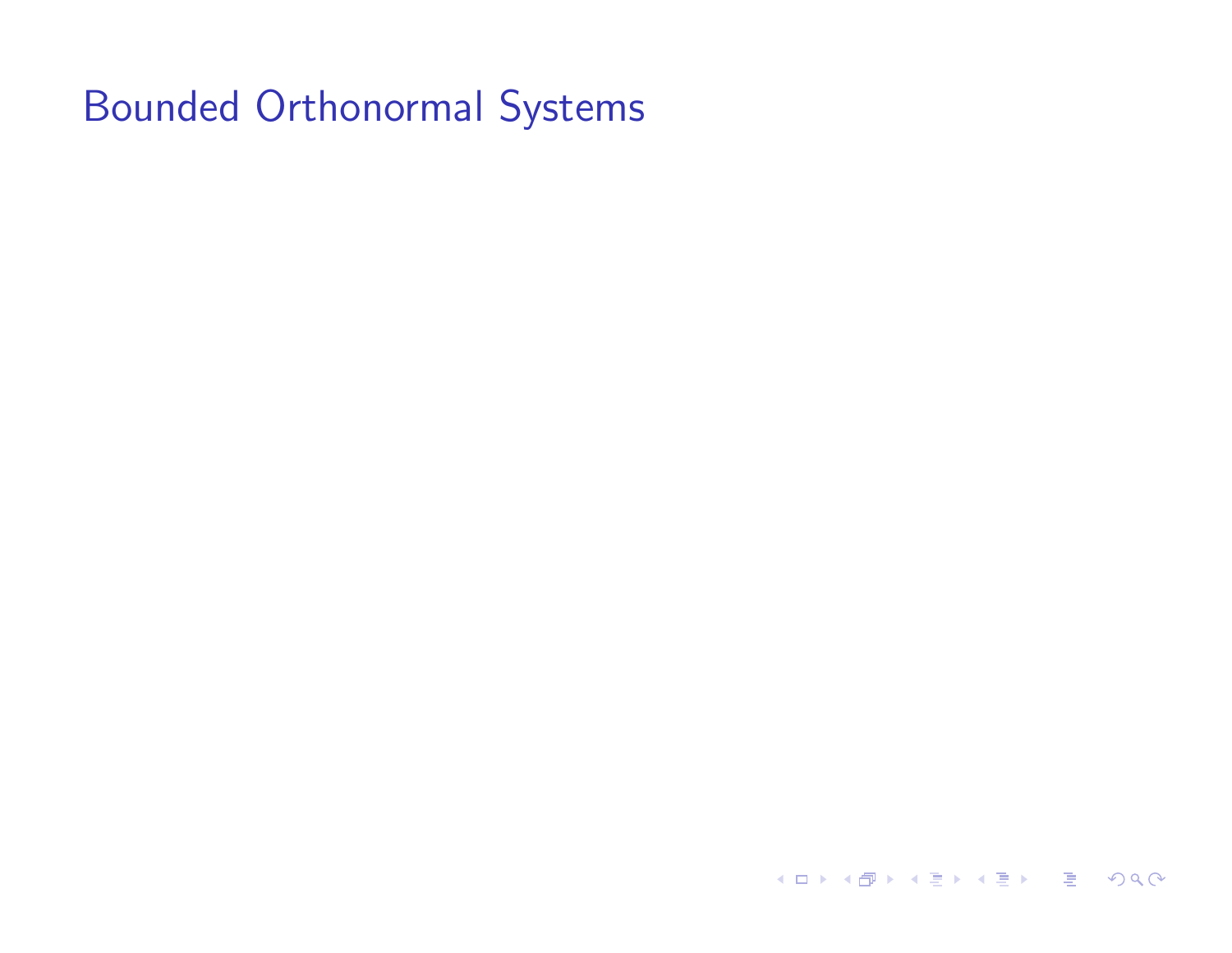K ロ → K 御 → K 星 → K 星 → C 星 → の Q Q →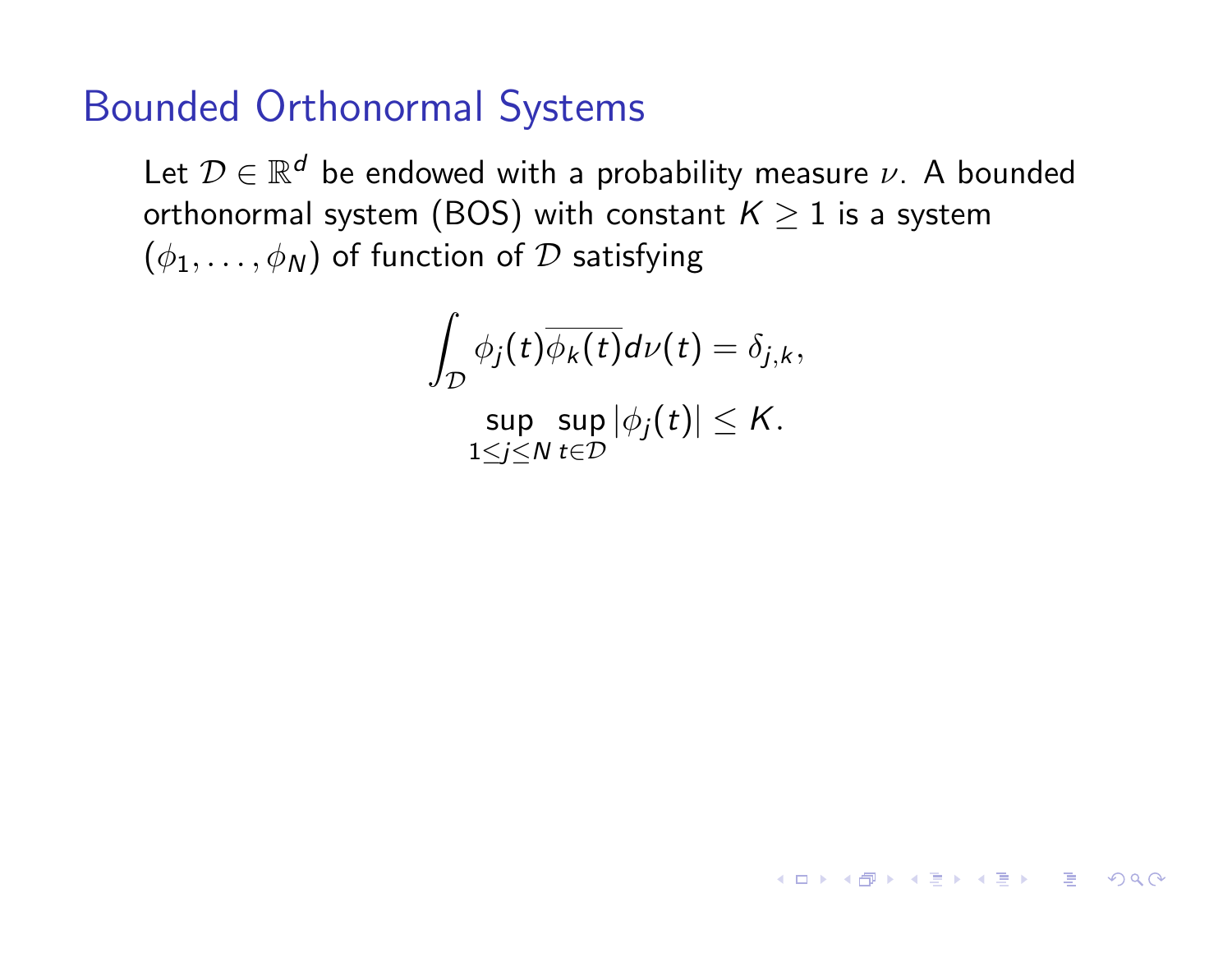Let  $\mathcal{D} \in \mathbb{R}^d$  be endowed with a probability measure  $\nu$ . A bounded orthonormal system (BOS) with constant  $K \geq 1$  is a system  $(\phi_1,\ldots,\phi_N)$  of function of  $\mathcal D$  satisfying

$$
\int_{\mathcal{D}} \phi_j(t) \overline{\phi_k(t)} d\nu(t) = \delta_{j,k},
$$

 $\sup_{t\in\mathbb{N}}\sup_{t\in\mathbb{T}}|\phi_j(t)|\leq K.$ 1≤*j*≤*N t*∈D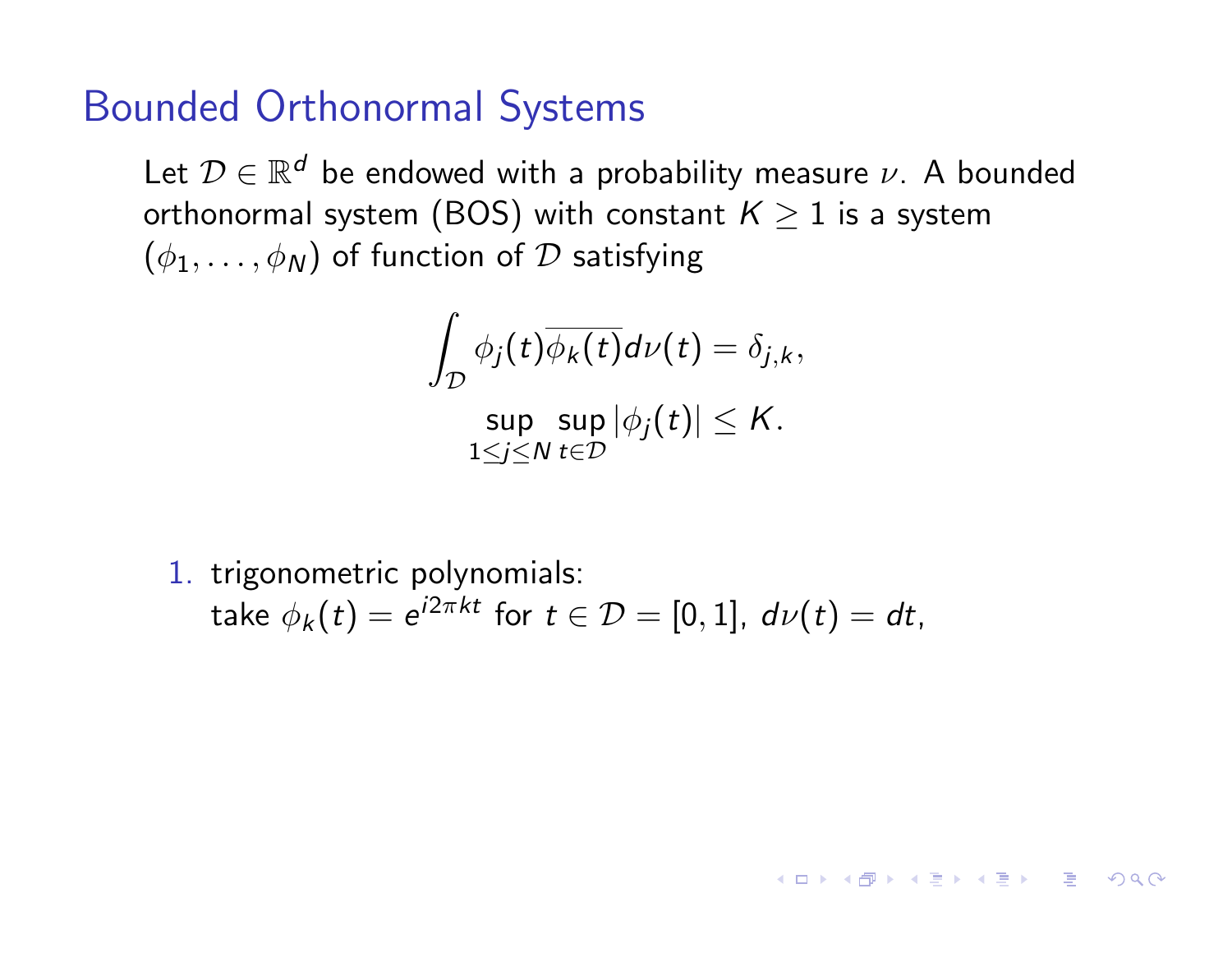Let  $\mathcal{D} \in \mathbb{R}^d$  be endowed with a probability measure  $\nu$ . A bounded orthonormal system (BOS) with constant  $K \geq 1$  is a system  $(\phi_1,\ldots,\phi_N)$  of function of D satisfying

$$
\int_{\mathcal{D}} \phi_j(t) \overline{\phi_k(t)} d\nu(t) = \delta_{j,k},
$$
  
\n
$$
\sup_{1 \le j \le N} \sup_{t \in \mathcal{D}} |\phi_j(t)| \le K.
$$

1. trigonometric polynomials: take  $\phi_k(t) = e^{i2\pi kt}$  for  $t \in \mathcal{D} = [0, 1]$ ,  $d\nu(t) = dt$ ,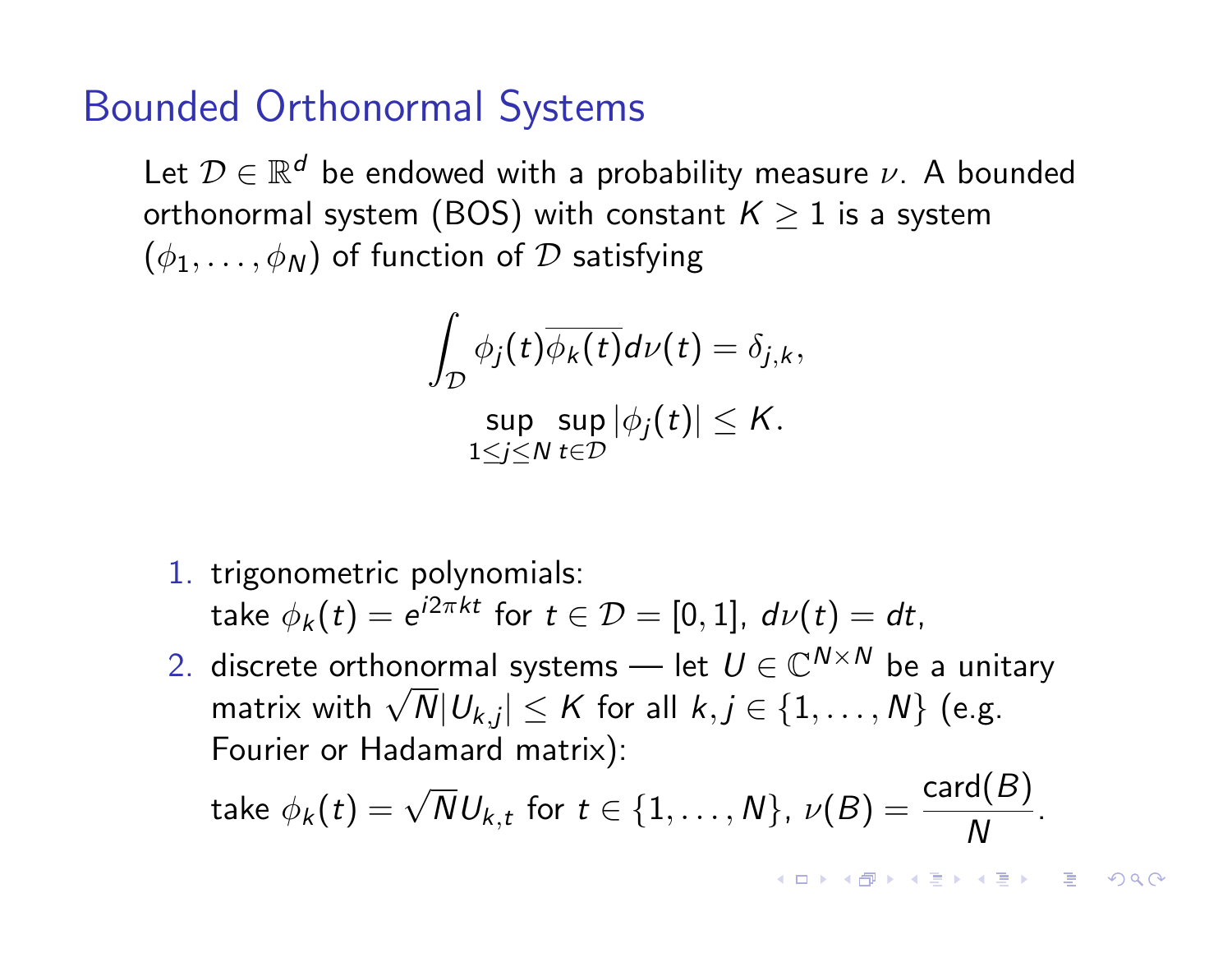Let  $\mathcal{D} \in \mathbb{R}^d$  be endowed with a probability measure  $\nu$ . A bounded orthonormal system (BOS) with constant  $K \geq 1$  is a system  $(\phi_1,\ldots,\phi_N)$  of function of D satisfying

$$
\int_{\mathcal{D}} \phi_j(t) \overline{\phi_k(t)} d\nu(t) = \delta_{j,k},
$$
  
\n
$$
\sup_{1 \le j \le N} \sup_{t \in \mathcal{D}} |\phi_j(t)| \le K.
$$

- 1. trigonometric polynomials: take  $\phi_k(t) = e^{i2\pi kt}$  for  $t \in \mathcal{D} = [0, 1]$ ,  $d\nu(t) = dt$ ,
- 2. discrete orthonormal systems let  $U \in \mathbb{C}^{N \times N}$  be a unitarv matrix with  $\sqrt{N}|U_{k,j}| \leq K$  for all  $k, j \in \{1, ..., N\}$  (e.g. Fourier or Hadamard matrix):

take 
$$
\phi_k(t) = \sqrt{N}U_{k,t}
$$
 for  $t \in \{1, ..., N\}$ ,  $\nu(B) = \frac{\text{card}(B)}{N}$ .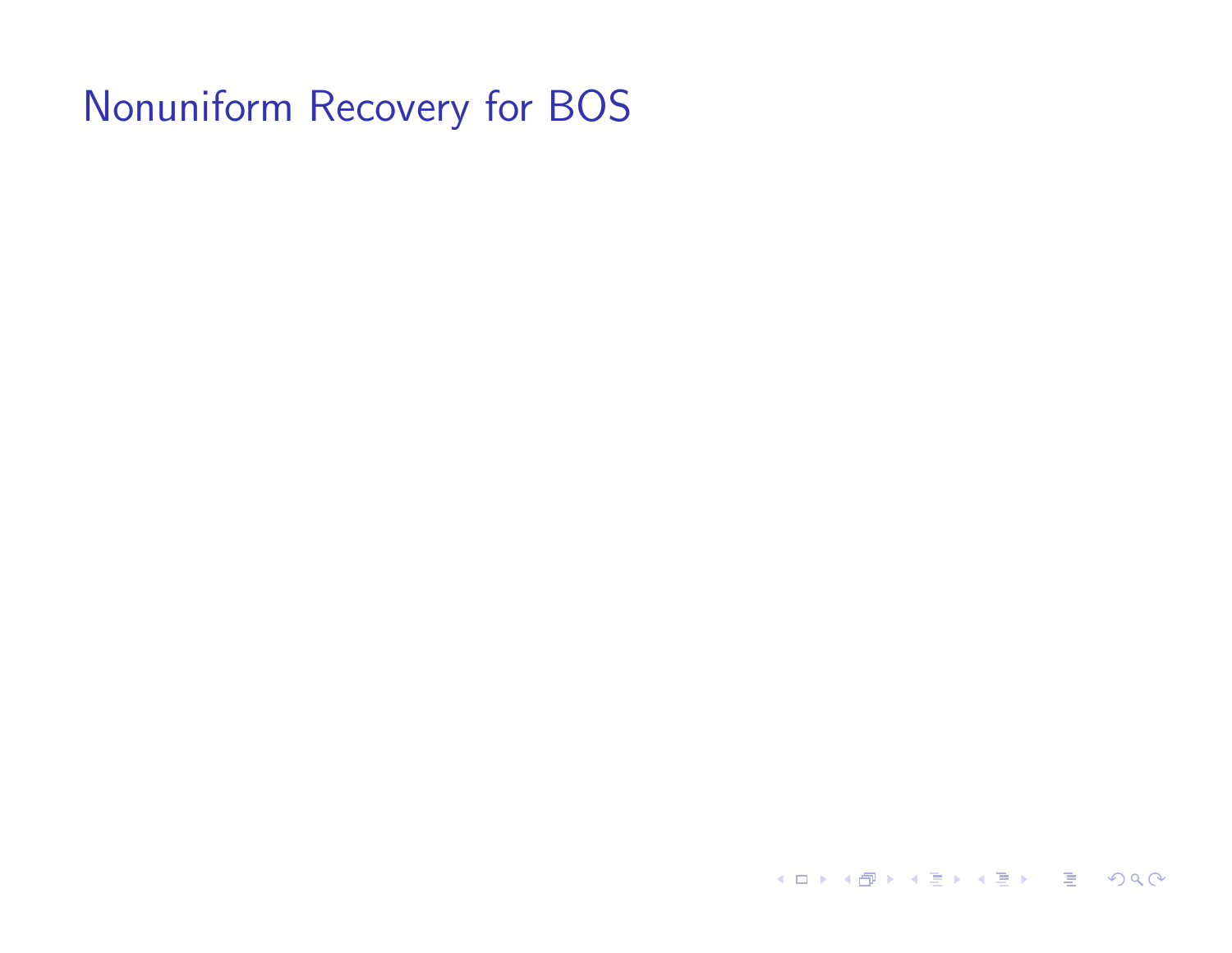**K ロ ▶ K 御 ▶ K 聖 ▶ K 聖 ▶ │ 重 │ めぬ⊙**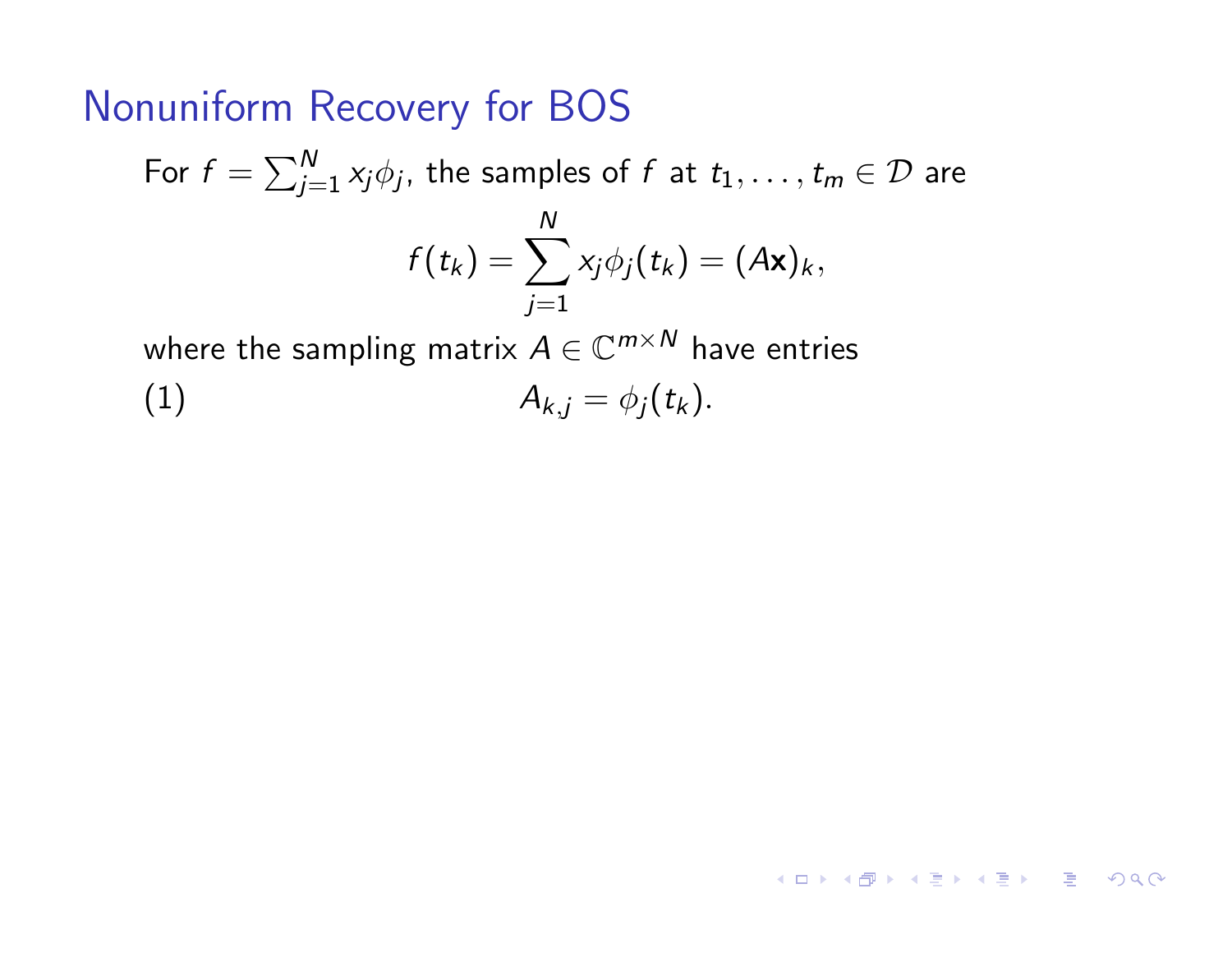For  $f = \sum_{j=1}^N x_j \phi_j$ , the samples of  $f$  at  $t_1,\ldots,t_m \in \mathcal{D}$  are  $f(t_k) = \sum$ *N j*=1  $x_j \phi_j(t_k) = (A\mathbf{x})_k,$ where the sampling matrix  $A \in \mathbb{C}^{m \times N}$  have entries

$$
(1) \t A_{k,j} = \phi_j(t_k).
$$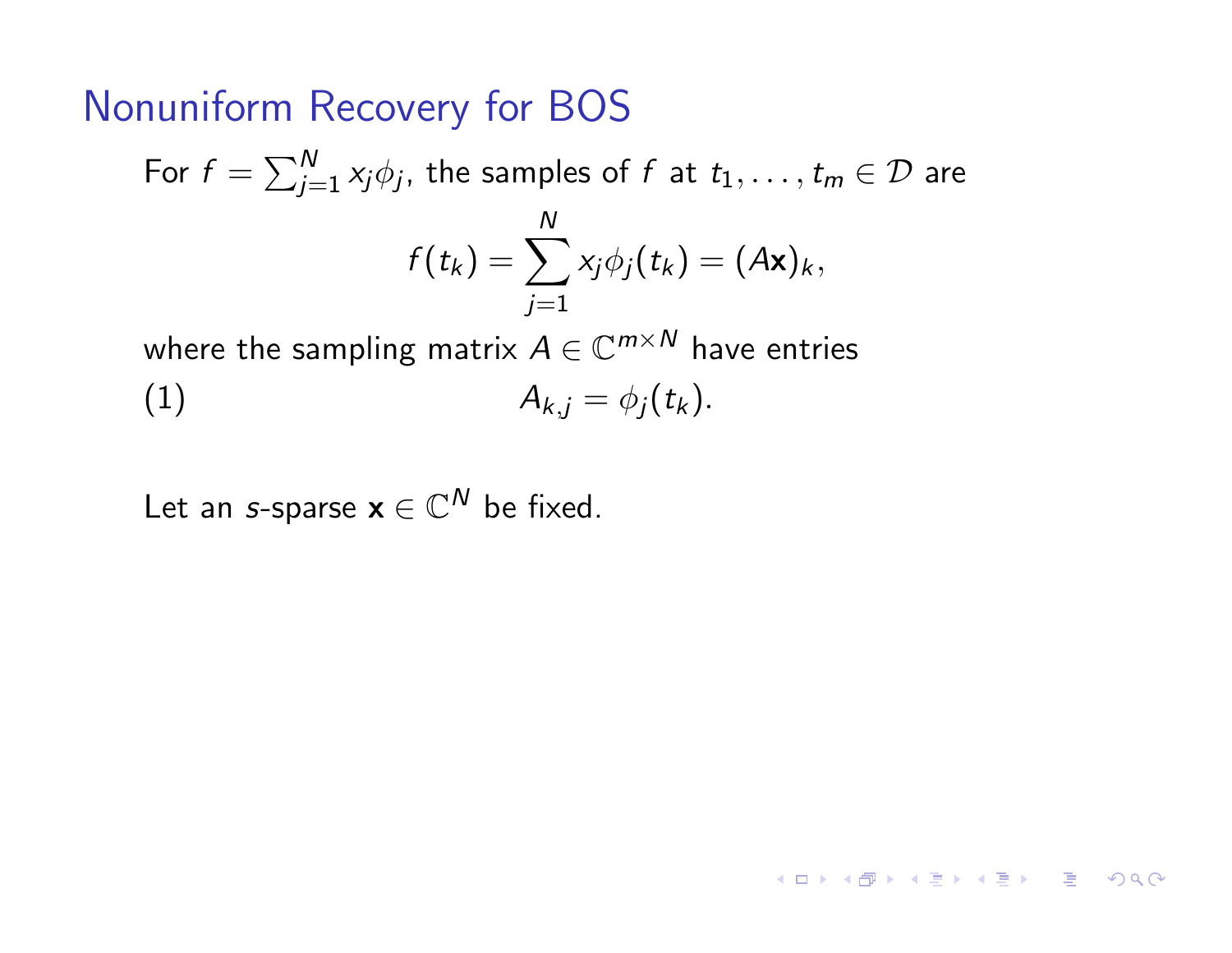For  $f = \sum_{j=1}^N x_j \phi_j$ , the samples of  $f$  at  $t_1,\ldots,t_m \in \mathcal{D}$  are  $f(t_k) = \sum$ *N j*=1  $x_j \phi_j(t_k) = (A\mathbf{x})_k,$ where the sampling matrix  $A \in \mathbb{C}^{m \times N}$  have entries

(1)  $A_{k,j} = \phi_j(t_k).$ 

Let an *s*-sparse  $x \in \mathbb{C}^N$  be fixed.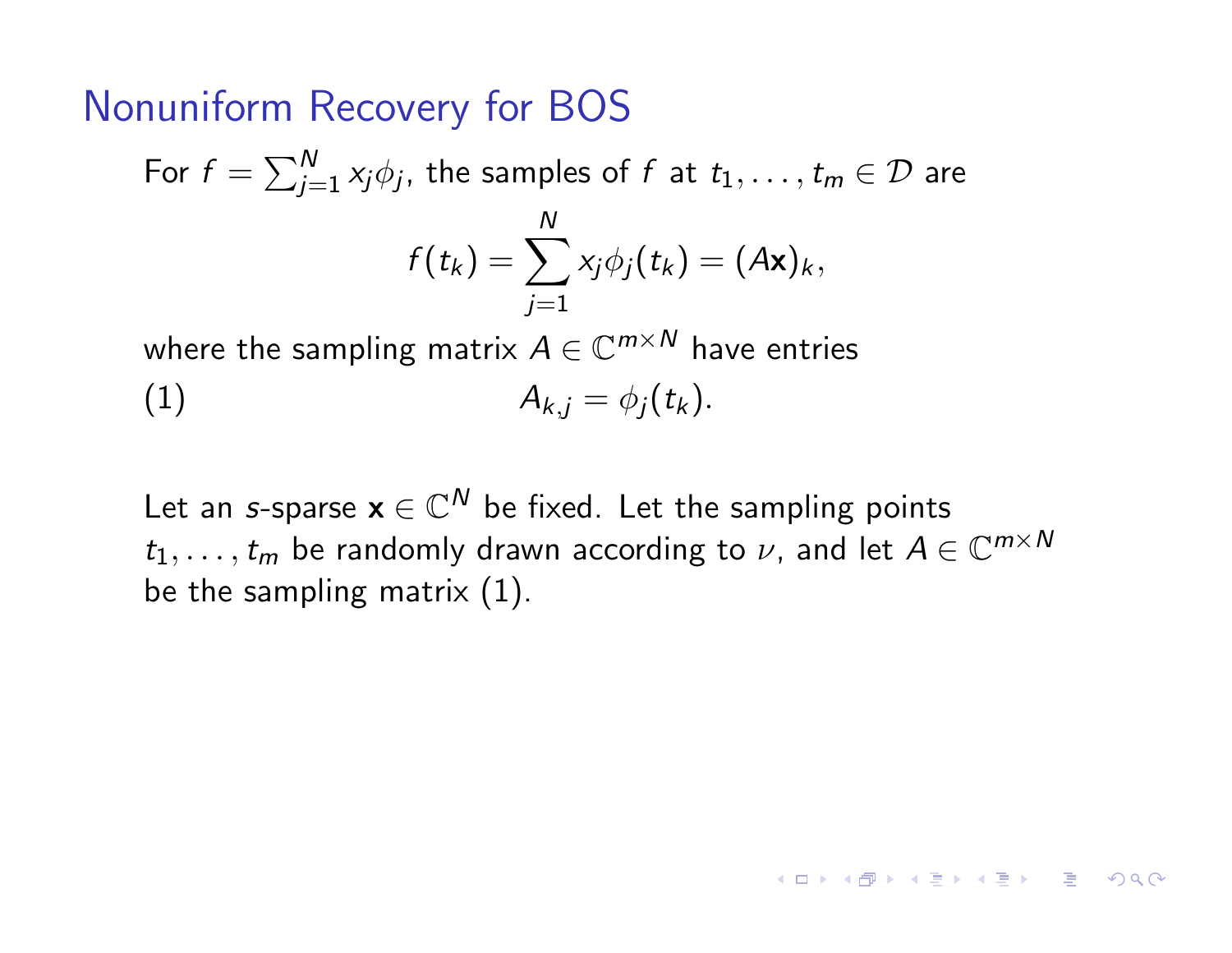For  $f = \sum_{j=1}^N x_j \phi_j$ , the samples of  $f$  at  $t_1,\ldots,t_m \in \mathcal{D}$  are  $f(t_k) = \sum$ *N j*=1  $x_j \phi_j(t_k) = (A\mathbf{x})_k,$ 

where the sampling matrix  $A \in \mathbb{C}^{m \times N}$  have entries (1)  $A_{k,i} = \phi_i(t_k).$ 

Let an *s*-sparse  $x \in \mathbb{C}^N$  be fixed. Let the sampling points  $t_1, \ldots, t_m$  be randomly drawn according to  $\nu$ , and let  $A \in \mathbb{C}^{m \times N}$ be the sampling matrix (1).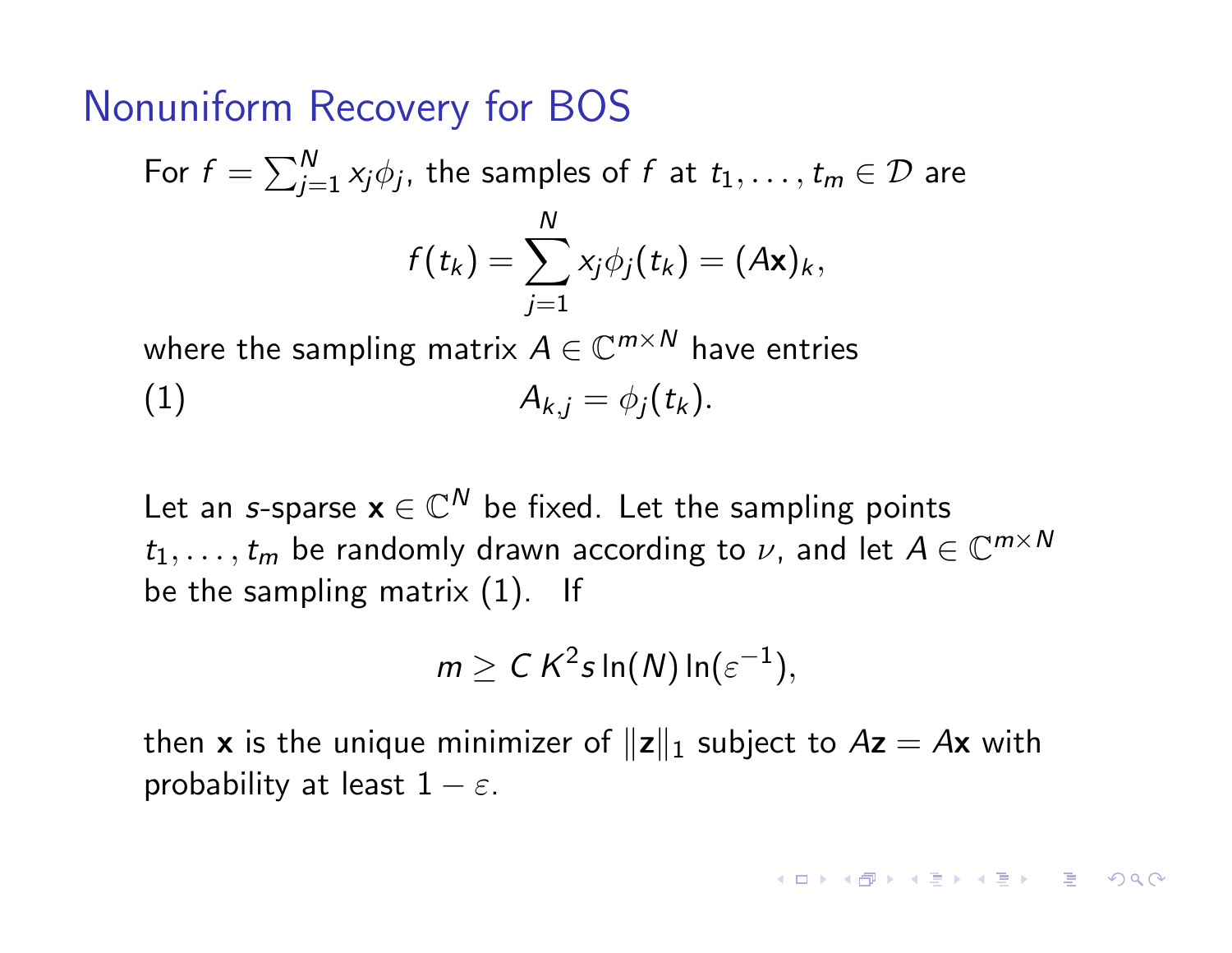For 
$$
f = \sum_{j=1}^{N} x_j \phi_j
$$
, the samples of  $f$  at  $t_1, ..., t_m \in \mathcal{D}$  are  
\n
$$
f(t_k) = \sum_{j=1}^{N} x_j \phi_j(t_k) = (A\mathbf{x})_k,
$$
\nwhere the complex matrix  $A \in \mathbb{C}^{m \times N}$  has a series.

where the sampling matrix  $A \in \mathbb{C}^{m \times n}$  have entries (1)  $A_{k,j} = \phi_j(t_k).$ 

Let an *s*-sparse  $x \in \mathbb{C}^N$  be fixed. Let the sampling points  $t_1, \ldots, t_m$  be randomly drawn according to  $\nu$ , and let  $A \in \mathbb{C}^{m \times N}$ be the sampling matrix (1). If

$$
m \geq C K^2 s \ln(N) \ln(\varepsilon^{-1}),
$$

then **x** is the unique minimizer of  $||z||_1$  subject to  $Az = Ax$  with probability at least  $1 - \varepsilon$ .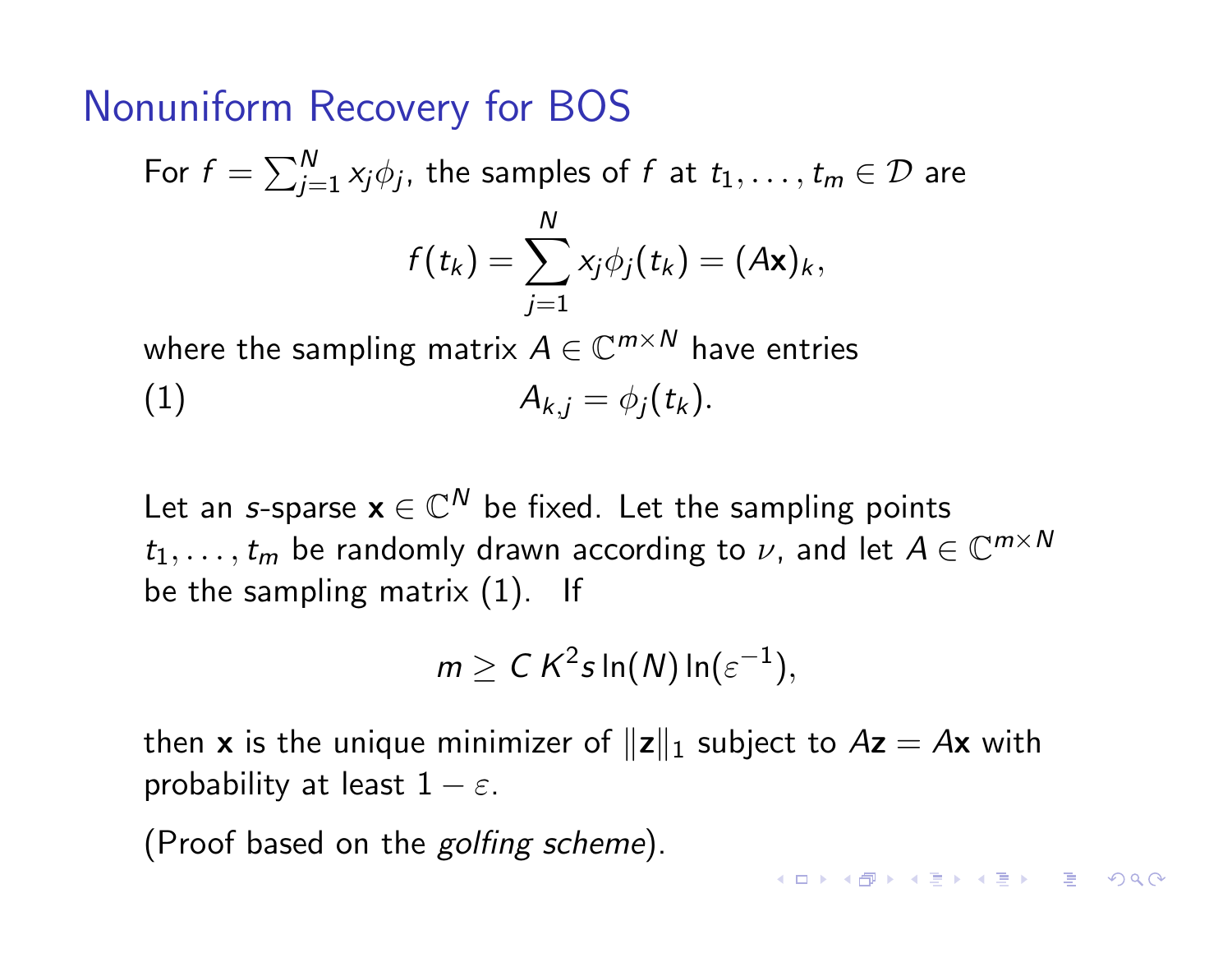For 
$$
f = \sum_{j=1}^{N} x_j \phi_j
$$
, the samples of  $f$  at  $t_1, ..., t_m \in \mathcal{D}$  are  
\n
$$
f(t_k) = \sum_{j=1}^{N} x_j \phi_j(t_k) = (A\mathbf{x})_k,
$$
\nwhere the generalizes the probability  $A \in C^{m \times N}$  hence satisfies

where the sampling matrix  $A \in \mathbb{C}^{m \times n}$  have entries (1)  $A_{k,j} = \phi_j(t_k).$ 

Let an *s*-sparse  $x \in \mathbb{C}^N$  be fixed. Let the sampling points  $t_1, \ldots, t_m$  be randomly drawn according to  $\nu$ , and let  $A \in \mathbb{C}^{m \times N}$ be the sampling matrix (1). If

$$
m \geq C K^2 s \ln(N) \ln(\varepsilon^{-1}),
$$

then **x** is the unique minimizer of  $||z||_1$  subject to  $Az = Ax$  with probability at least  $1 - \varepsilon$ .

(Proof based on the *golfing scheme*).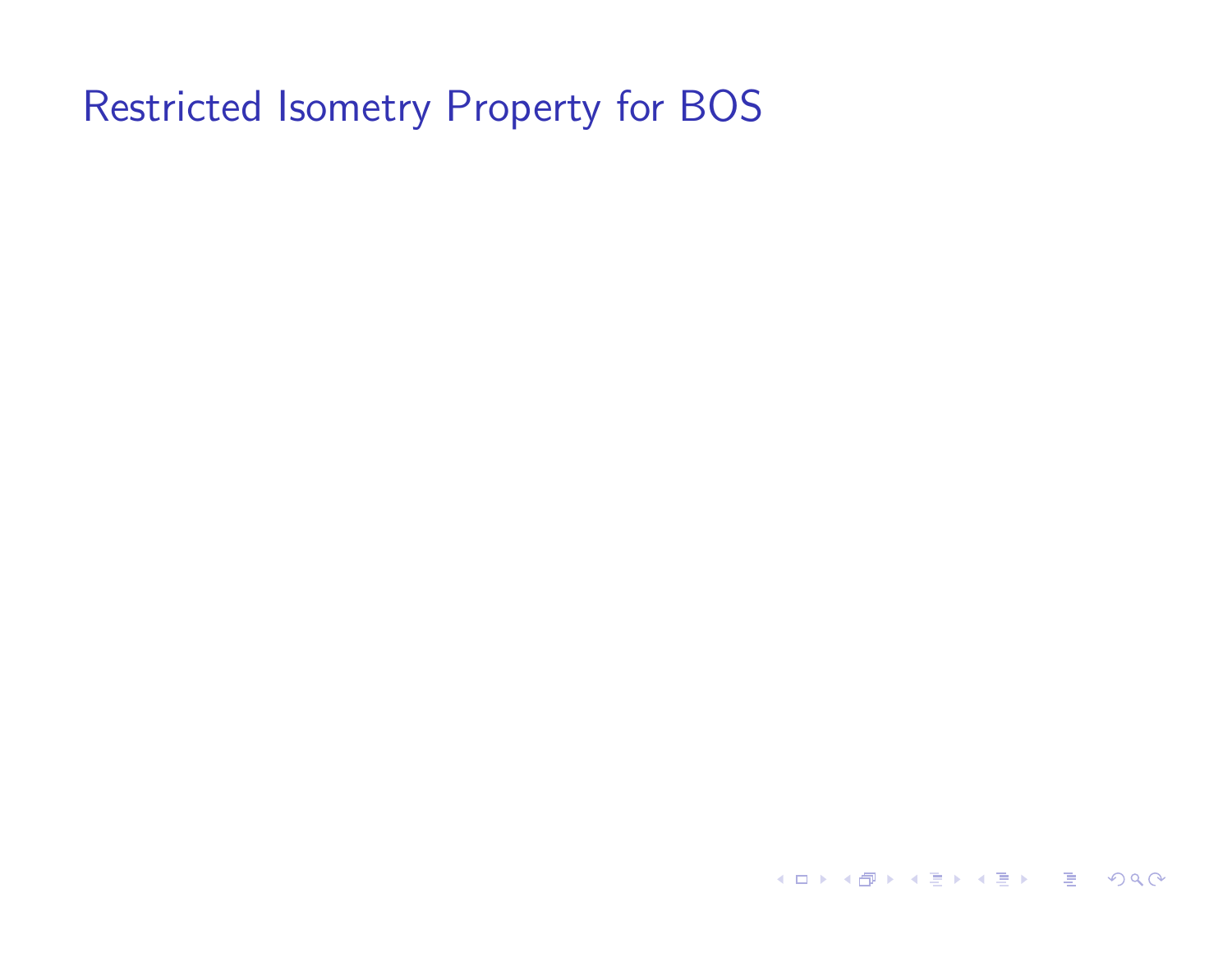**K ロ ▶ K 御 ▶ K 聖 ▶ K 聖 ▶ │ 重 │ めぬ⊙**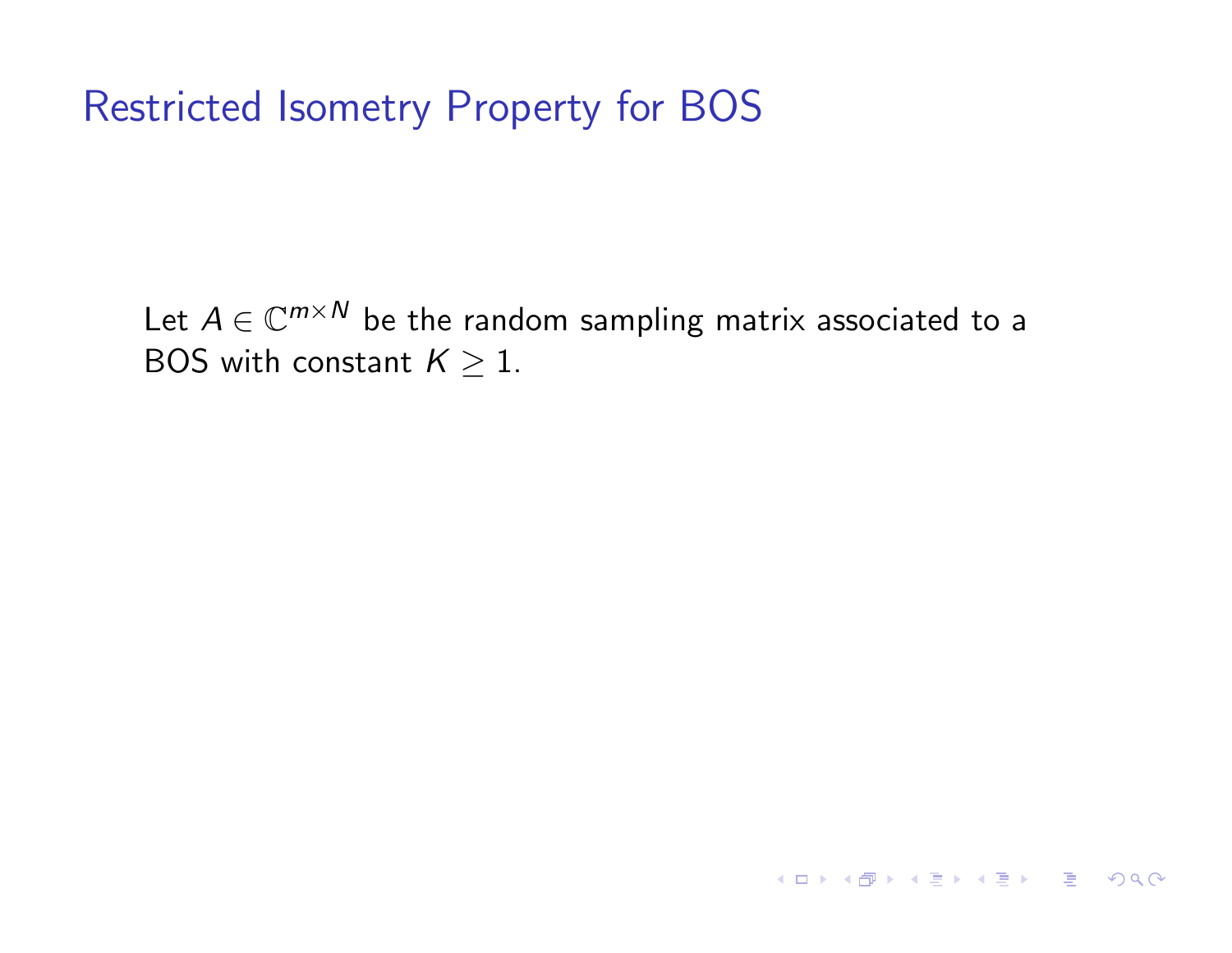Let  $A \in \mathbb{C}^{m \times N}$  be the random sampling matrix associated to a BOS with constant  $K \geq 1$ .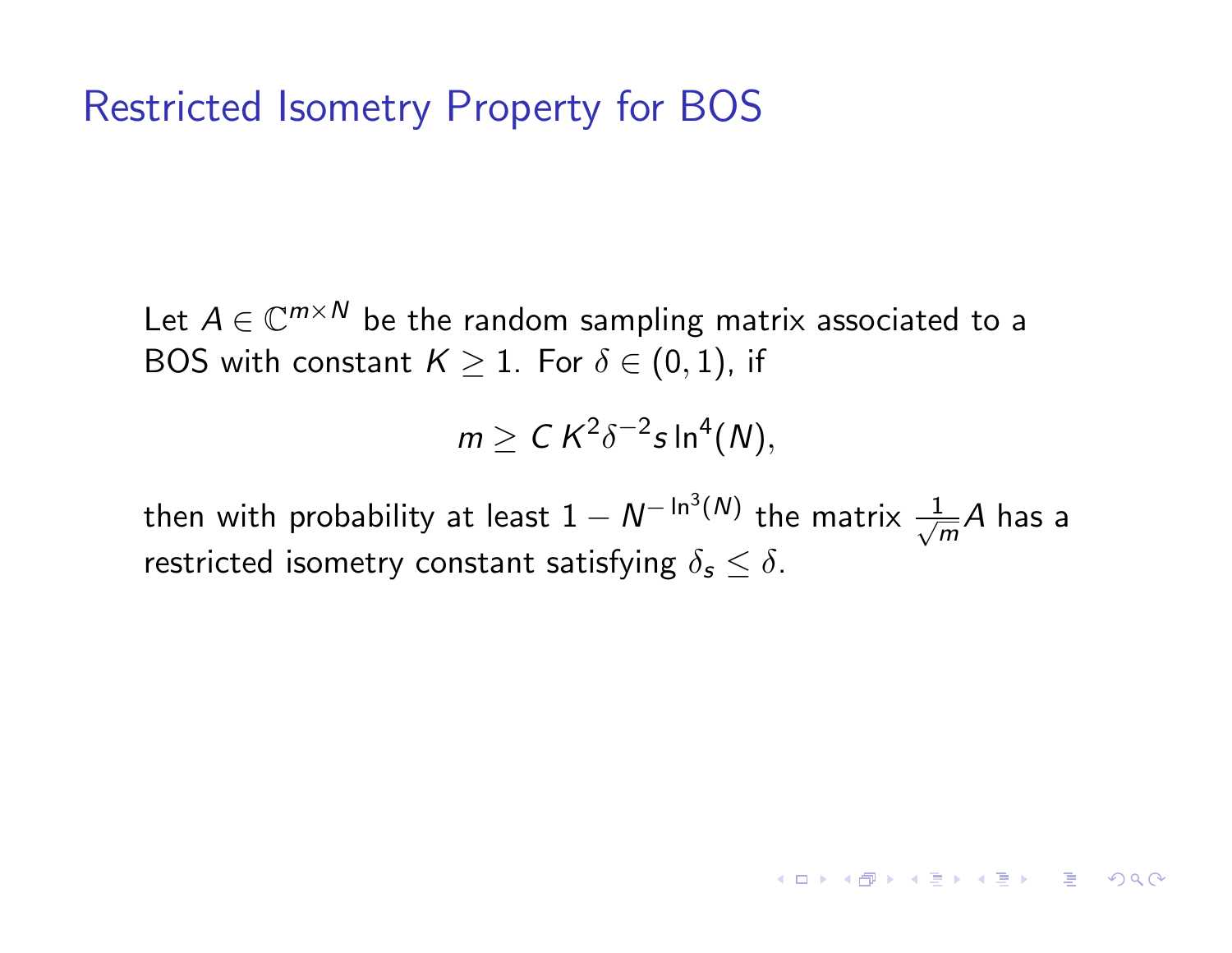Let  $A \in \mathbb{C}^{m \times N}$  be the random sampling matrix associated to a BOS with constant  $K \geq 1$ . For  $\delta \in (0,1)$ , if

$$
m \geq C K^2 \delta^{-2} s \ln^4(N),
$$

then with probability at least  $1 - N^{-\ln^3(N)}$  the matrix  $\frac{1}{\sqrt{N}}$  $\frac{1}{m}A$  has a restricted isometry constant satisfying  $\delta_s \leq \delta$ .